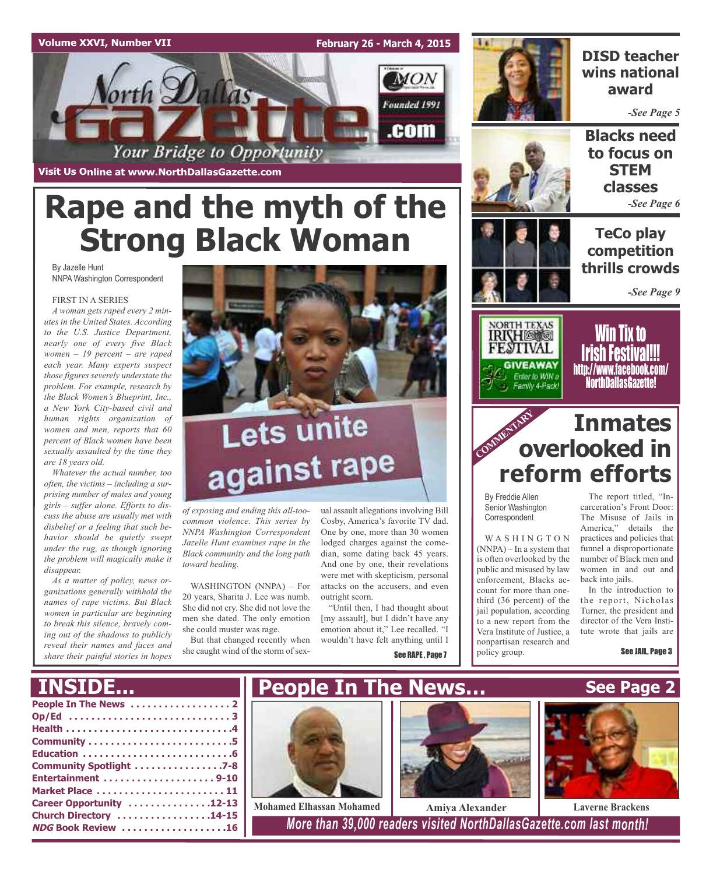## **Volume XXVI, Number VII**

**February 26 - March 4, 2015**



**Visit Us Online at www.NorthDallasGazette.com**

# **Rape and the myth of the Strong Black Woman**

By Jazelle Hunt NNPA Washington Correspondent

## FIRST IN A SERIES

*A woman gets raped every 2 minutes in the United States. According to the U.S. Justice Department, nearly one of every five Black women – 19 percent – are raped each year. Many experts suspect those figures severely understate the problem. For example, research by the Black Women's Blueprint, Inc., a New York City-based civil and human rights organization of women and men, reports that 60 percent of Black women have been sexually assaulted by the time they are 18 years old.*

*Whatever the actual number, too often, the victims – including a surprising number of males and young girls – suffer alone. Efforts to discuss the abuse are usually met with disbelief or a feeling that such behavior should be quietly swept under the rug, as though ignoring the problem will magically make it disappear.*

*As a matter of policy, news organizations generally withhold the names of rape victims. But Black women in particular are beginning to break this silence, bravely coming out of the shadows to publicly reveal their names and faces and share their painful stories in hopes*



# Lets unite against rape

*of exposing and ending this all-toocommon violence. This series by NNPA Washington Correspondent Jazelle Hunt examines rape in the Black community and the long path toward healing.*

WASHINGTON (NNPA) – For 20 years, Sharita J. Lee was numb. She did not cry. She did not love the men she dated. The only emotion she could muster was rage.

But that changed recently when she caught wind of the storm of sexual assault allegations involving Bill Cosby, America's favorite TV dad. One by one, more than 30 women lodged charges against the comedian, some dating back 45 years. And one by one, their revelations were met with skepticism, personal attacks on the accusers, and even outright scorn.

"Until then, I had thought about [my assault], but I didn't have any emotion about it," Lee recalled. "I wouldn't have felt anything until I

See RAPE , Page 7



**DISD teacher wins national award**

*-See Page 5*





**TeCo play competition thrills crowds**

*-See Page 9*



<u>Will tix to</u> **Irish Festival** http://www.facebook.com/ NorthDallasGazette!

# **COMME Inmates overlooked in reform efforts**

By Freddie Allen Senior Washington **Correspondent** 

W A S H I N G T O N (NNPA) – In a system that is often overlooked by the public and misused by law enforcement, Blacks account for more than onethird (36 percent) of the jail population, according to a new report from the Vera Institute of Justice, a nonpartisan research and

policy group.

The report titled, "Incarceration's Front Door: The Misuse of Jails in America," details the practices and policies that funnel a disproportionate number of Black men and women in and out and back into jails.

In the introduction to the report, Nicholas Turner, the president and director of the Vera Institute wrote that jails are

See JAIL, Page 3

# **INSIDE...**

| Community Spotlight 7-8   |
|---------------------------|
|                           |
| Market Place  11          |
| Career Opportunity 12-13  |
| Church Directory 14-15    |
| <b>NDG Book Review 16</b> |



**Mohamed Elhassan Mohamed Amiya Alexander Laverne Brackens** 

**NDG Book Review . . . . . . . . . . . . . . . . . . .16** *More than 39,000 readers visited NorthDallasGazette.com last month!*

**See Page 2**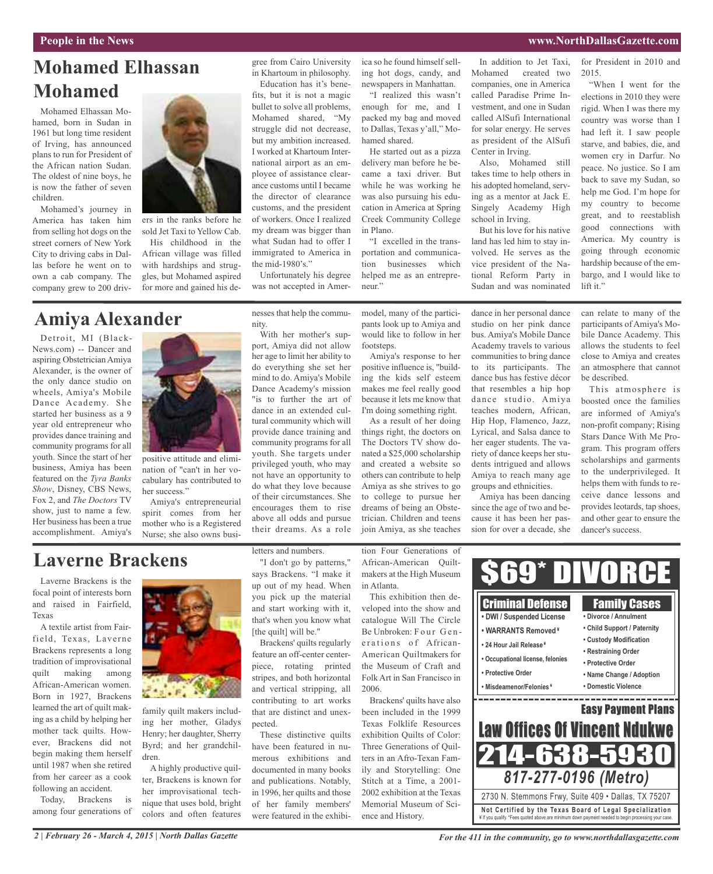## **People in the News www.NorthDallasGazette.com**

# **Mohamed Elhassan Mohamed**

Mohamed Elhassan Mohamed, born in Sudan in 1961 but long time resident of Irving, has announced plans to run for President of the African nation Sudan. The oldest of nine boys, he is now the father of seven children.

Mohamed's journey in America has taken him from selling hot dogs on the street corners of New York City to driving cabs in Dallas before he went on to own a cab company. The company grew to 200 driv-



ers in the ranks before he sold Jet Taxi to Yellow Cab.

His childhood in the African village was filled with hardships and struggles, but Mohamed aspired for more and gained his de-

# **Amiya Alexander**

Detroit, MI (Black-News.com) -- Dancer and aspiring Obstetrician Amiya Alexander, is the owner of the only dance studio on wheels, Amiya's Mobile Dance Academy. She started her business as a 9 year old entrepreneur who provides dance training and community programs for all youth. Since the start of her business, Amiya has been featured on the *Tyra Banks Show*, Disney, CBS News, Fox 2, and *The Doctors* TV show, just to name a few. Her business has been a true accomplishment. Amiya's



positive attitude and elimination of "can't in her vocabulary has contributed to her success."

Amiya's entrepreneurial spirit comes from her mother who is a Registered Nurse; she also owns busi-

# **Laverne Brackens**

Laverne Brackens is the focal point of interests born and raised in Fairfield, Texas

A textile artist from Fairfield, Texas, Laverne Brackens represents a long tradition of improvisational quilt making among African-American women. Born in 1927, Brackens learned the art of quilt making as a child by helping her mother tack quilts. However, Brackens did not begin making them herself until 1987 when she retired from her career as a cook following an accident.

Today, Brackens is among four generations of



family quilt makers including her mother, Gladys Henry; her daughter, Sherry Byrd; and her grandchildren.

A highly productive quilter, Brackens is known for her improvisational technique that uses bold, bright colors and often features

letters and numbers.

"I don't go by patterns," says Brackens. "I make it up out of my head. When you pick up the material and start working with it, that's when you know what [the quilt] will be."

Brackens' quilts regularly feature an off-center centerpiece, rotating printed stripes, and both horizontal and vertical stripping, all contributing to art works that are distinct and unexpected.

These distinctive quilts have been featured in numerous exhibitions and documented in many books and publications. Notably, in 1996, her quilts and those of her family members' were featured in the exhibiica so he found himself selling hot dogs, candy, and newspapers in Manhattan.

"I realized this wasn't enough for me, and I packed my bag and moved to Dallas, Texas y'all," Mohamed shared.

He started out as a pizza delivery man before he became a taxi driver. But while he was working he was also pursuing his education in America at Spring Creek Community College in Plano.

"I excelled in the transportation and communication businesses which helped me as an entrepreneur."

model, many of the participants look up to Amiya and would like to follow in her footsteps.

Amiya's response to her positive influence is, "building the kids self esteem makes me feel really good because it lets me know that I'm doing something right.

As a result of her doing things right, the doctors on The Doctors TV show donated a \$25,000 scholarship and created a website so others can contribute to help Amiya as she strives to go to college to pursue her dreams of being an Obstetrician. Children and teens join Amiya, as she teaches

in Atlanta.

2006.

In addition to Jet Taxi, Mohamed created two companies, one in America called Paradise Prime Investment, and one in Sudan called AlSufi International for solar energy. He serves as president of the AlSufi Center in Irving.

Also, Mohamed still takes time to help others in his adopted homeland, serving as a mentor at Jack E. Singely Academy High school in Irving.

But his love for his native land has led him to stay involved. He serves as the vice president of the National Reform Party in Sudan and was nominated

for President in 2010 and 2015.

"When I went for the elections in 2010 they were rigid. When I was there my country was worse than I had left it. I saw people starve, and babies, die, and women cry in Darfur. No peace. No justice. So I am back to save my Sudan, so help me God. I'm hope for my country to become great, and to reestablish good connections with America. My country is going through economic hardship because of the embargo, and I would like to lift it."

dance in her personal dance studio on her pink dance bus. Amiya's Mobile Dance Academy travels to various communities to bring dance to its participants. The dance bus has festive décor that resembles a hip hop dance studio. Amiya teaches modern, African, Hip Hop, Flamenco, Jazz, Lyrical, and Salsa dance to her eager students. The variety of dance keeps her students intrigued and allows Amiya to reach many age groups and ethnicities.

Amiya has been dancing since the age of two and because it has been her passion for over a decade, she can relate to many of the participants of Amiya's Mobile Dance Academy. This allows the students to feel close to Amiya and creates an atmosphere that cannot be described.

This atmosphere is boosted once the families are informed of Amiya's non-profit company; Rising Stars Dance With Me Program. This program offers scholarships and garments to the underprivileged. It helps them with funds to receive dance lessons and provides leotards, tap shoes, and other gear to ensure the dancer's success.



*2 | February 26 - March 4, 2015 | North Dallas Gazette*

encourages them to rise

above all odds and pursue their dreams. As a role

not have an opportunity to do what they love because of their circumstances. She

nesses that help the commu-

Unfortunately his degree was not accepted in Amer-

the mid-1980's."

gree from Cairo University in Khartoum in philosophy. Education has it's benefits, but it is not a magic bullet to solve all problems, Mohamed shared, "My struggle did not decrease, but my ambition increased. I worked at Khartoum International airport as an employee of assistance clearance customs until I became the director of clearance customs, and the president of workers. Once I realized my dream was bigger than what Sudan had to offer I immigrated to America in

With her mother's support, Amiya did not allow her age to limit her ability to do everything she set her mind to do. Amiya's Mobile Dance Academy's mission "is to further the art of dance in an extended cultural community which will provide dance training and community programs for all youth. She targets under privileged youth, who may

nity.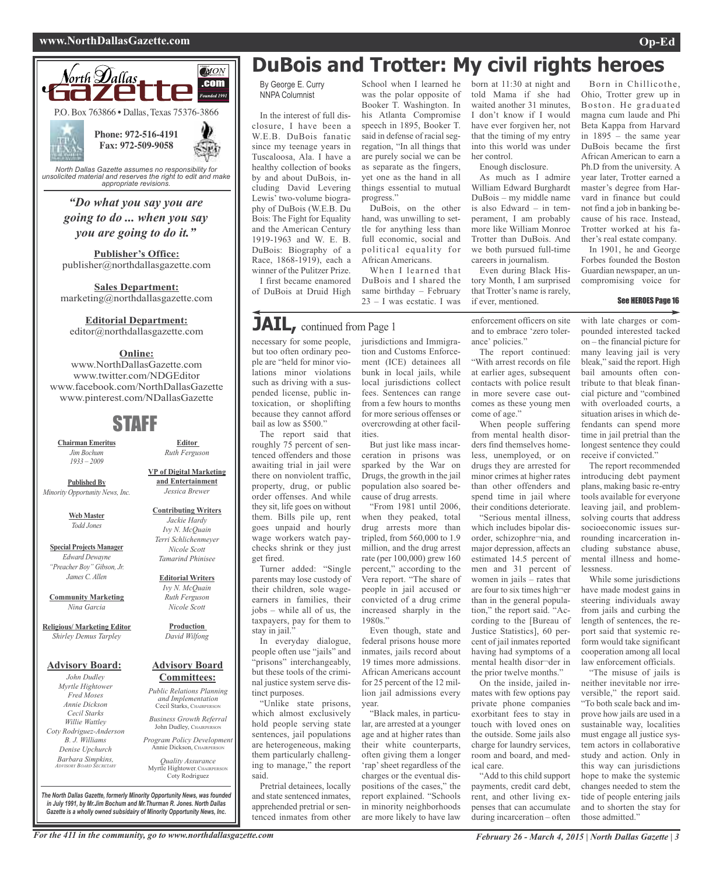

*unsolicited material and reserves the right to edit and make appropriate revisions.*

*"Do what you say you are going to do ... when you say you are going to do it."*

**Publisher's Office:** publisher@northdallasgazette.com

**Sales Department:** marketing@northdallasgazette.com

## **Editorial Department:**

editor@northdallasgazette.com

## **Online:**

www.NorthDallasGazette.com www.twitter.com/NDGEditor www.facebook.com/NorthDallasGazette www.pinterest.com/NDallasGazette

# STAFF

**Chairman Emeritus** *Jim Bochum 1933 – 2009*

**Published By** *Minority Opportunity News, Inc.*

> **Web Master** *Todd Jones*

**Special Projects Manager** *Edward Dewayne "Preacher Boy" Gibson, Jr. James C. Allen*

**Community Marketing** *Nina Garcia*

**Religious/ Marketing Editor** *Shirley Demus Tarpley*

## **Advisory Board:**

*John Dudley Myrtle Hightower Fred Moses Annie Dickson Cecil Starks Willie Wattley Coty Rodriguez-Anderson B. J. Williams Denise Upchurch Barbara Simpkins, ADVISORY BOARD SECRETARY*

**and Entertainment** *Jessica Brewer* **Contributing Writers**

**Editor** *Ruth Ferguson*

**VP of Digital Marketing**

*Jackie Hardy Ivy N. McQuain Terri Schlichenmeyer Nicole Scott*

*Tamarind Phinisee*

**Editorial Writers** *Ivy N. McQuain Ruth Ferguson Nicole Scott*

**Production** *David Wilfong*

## **Advisory Board Committees:**

*Public Relations Planning and Implementation* Cecil Starks, CHAIRPERSON

*Business Growth Referral* John Dudley, CHAIRPERSON

*Program Policy Development* Annie Dickson, CHAIRPERS

*Quality Assurance* Myrtle Hightower, CHAIRPERSO Coty Rodriguez

*The North Dallas Gazette, formerly Minority Opportunity News, was founded in July 1991, by Mr.Jim Bochum and Mr.Thurman R. Jones. North Dallas Gazette is a wholly owned subsidairy of Minority Opportunity News, Inc.*

# **DuBois and Trotter: My civil rights heroes**

By George E. Curry NNPA Columnist

In the interest of full disclosure, I have been a W.E.B. DuBois fanatic since my teenage years in Tuscaloosa, Ala. I have a healthy collection of books by and about DuBois, including David Levering Lewis' two-volume biography of DuBois (W.E.B. Du Bois: The Fight for Equality and the American Century 1919-1963 and W. E. B. DuBois: Biography of a Race, 1868-1919), each a winner of the Pulitzer Prize.

I first became enamored of DuBois at Druid High

# **JAIL,** continued from Page <sup>1</sup>

necessary for some people, jurisdictions and Immigrabut too often ordinary people are "held for minor violations minor violations such as driving with a suspended license, public intoxication, or shoplifting because they cannot afford

roughly 75 percent of sentenced offenders and those awaiting trial in jail were there on nonviolent traffic, property, drug, or public order offenses. And while they sit, life goes on without them. Bills pile up, rent goes unpaid and hourly wage workers watch paychecks shrink or they just get fired.

stay in jail.'

people often use "jails" and "prisons" interchangeably, but these tools of the criminal justice system serve dis-

Pretrial detainees, locally and state sentenced inmates, apprehended pretrial or sentenced inmates from other

School when I learned he was the polar opposite of Booker T. Washington. In his Atlanta Compromise speech in 1895, Booker T. said in defense of racial segregation, "In all things that are purely social we can be as separate as the fingers, yet one as the hand in all things essential to mutual progress."

DuBois, on the other hand, was unwilling to settle for anything less than full economic, social and political equality for African Americans.

When I learned that DuBois and I shared the same birthday – February 23 – I was ecstatic. I was

tion and Customs Enforcement (ICE) detainees all bunk in local jails, while local jurisdictions collect fees. Sentences can range from a few hours to months for more serious offenses or overcrowding at other facil-

But just like mass incarceration in prisons was sparked by the War on Drugs, the growth in the jail population also soared because of drug arrests.

"From 1981 until 2006, when they peaked, total drug arrests more than tripled, from 560,000 to 1.9 million, and the drug arrest rate (per 100,000) grew 160 percent," according to the Vera report. "The share of people in jail accused or convicted of a drug crime increased sharply in the

Even though, state and federal prisons house more inmates, jails record about 19 times more admissions. African Americans account for 25 percent of the 12 million jail admissions every

"Black males, in particular, are arrested at a younger age and at higher rates than their white counterparts, often giving them a longer 'rap'sheet regardless of the charges or the eventual dispositions of the cases," the report explained. "Schools in minority neighborhoods are more likely to have law

ities.

1980s."

year.

born at 11:30 at night and told Mama if she had waited another 31 minutes, I don't know if I would have ever forgiven her, not that the timing of my entry into this world was under her control.

Enough disclosure.

As much as I admire William Edward Burghardt DuBois – my middle name is also Edward – in temperament, I am probably more like William Monroe Trotter than DuBois. And we both pursued full-time careers in journalism.

Even during Black History Month, I am surprised that Trotter's name is rarely, if ever, mentioned.

enforcement officers on site and to embrace 'zero tolerance' policies."

The report continued: "With arrest records on file at earlier ages, subsequent contacts with police result in more severe case outcomes as these young men come of age.'

When people suffering from mental health disorders find themselves homeless, unemployed, or on drugs they are arrested for minor crimes at higher rates than other offenders and spend time in jail where their conditions deteriorate.

"Serious mental illness, which includes bipolar disorder, schizophre¬nia, and major depression, affects an estimated 14.5 percent of men and 31 percent of women in jails – rates that are four to six times high¬er than in the general population," the report said. "According to the [Bureau of Justice Statistics], 60 percent of jail inmates reported having had symptoms of a mental health disor¬der in the prior twelve months."

On the inside, jailed inmates with few options pay private phone companies exorbitant fees to stay in touch with loved ones on the outside. Some jails also charge for laundry services, room and board, and medical care.

"Add to this child support payments, credit card debt, rent, and other living expenses that can accumulate during incarceration – often

Born in Chillicothe, Ohio, Trotter grew up in Boston. He graduated magna cum laude and Phi Beta Kappa from Harvard in 1895 – the same year DuBois became the first African American to earn a Ph.D from the university. A year later, Trotter earned a master's degree from Harvard in finance but could not find a job in banking because of his race. Instead, Trotter worked at his father's real estate company.

In 1901, he and George Forbes founded the Boston Guardian newspaper, an uncompromising voice for

### See HEROES Page 16

with late charges or compounded interested tacked on – the financial picture for many leaving jail is very bleak," said the report. High bail amounts often contribute to that bleak financial picture and "combined with overloaded courts, a situation arises in which defendants can spend more time in jail pretrial than the longest sentence they could receive if convicted."

The report recommended introducing debt payment plans, making basic re-entry tools available for everyone leaving jail, and problemsolving courts that address socioeconomic issues surrounding incarceration including substance abuse, mental illness and homelessness.

While some jurisdictions have made modest gains in steering individuals away from jails and curbing the length of sentences, the report said that systemic reform would take significant cooperation among all local law enforcement officials.

"The misuse of jails is neither inevitable nor irreversible," the report said. "To both scale back and improve how jails are used in a sustainable way, localities must engage all justice system actors in collaborative study and action. Only in this way can jurisdictions hope to make the systemic changes needed to stem the tide of people entering jails and to shorten the stay for those admitted.'

bail as low as \$500." The report said that

Turner added: "Single parents may lose custody of their children, sole wageearners in families, their jobs – while all of us, the taxpayers, pay for them to

In everyday dialogue, tinct purposes.

"Unlike state prisons, which almost exclusively hold people serving state sentences, jail populations are heterogeneous, making them particularly challenging to manage," the report said.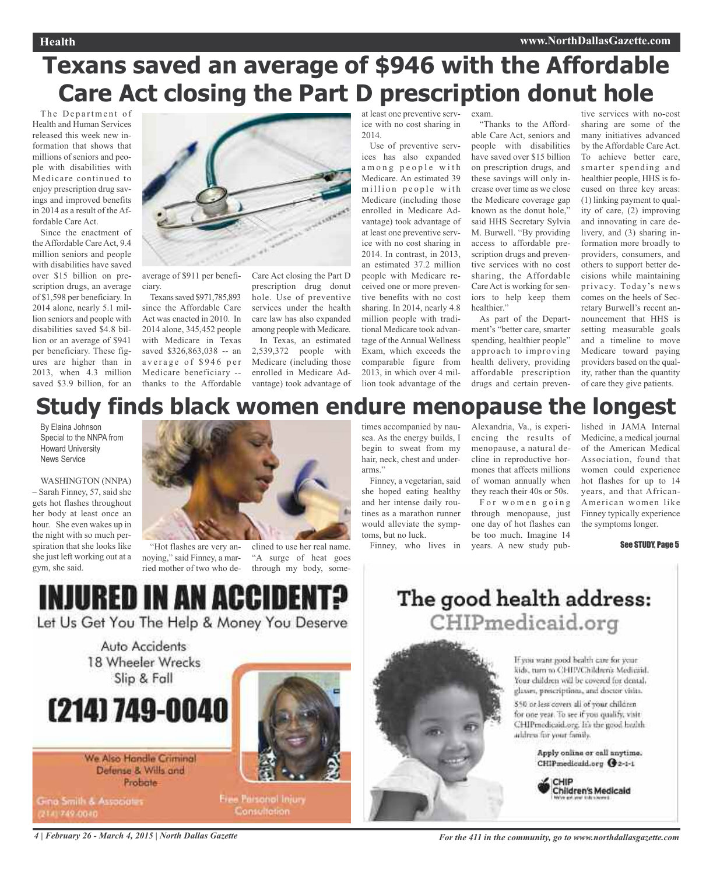# **Texans saved an average of \$946 with the Affordable Care Act closing the Part D prescription donut hole**

The Department of Health and Human Services released this week new information that shows that millions of seniors and people with disabilities with Medicare continued to enjoy prescription drug savings and improved benefits in 2014 as a result of the Affordable Care Act.

Since the enactment of the Affordable Care Act, 9.4 million seniors and people with disabilities have saved over \$15 billion on prescription drugs, an average of \$1,598 per beneficiary. In 2014 alone, nearly 5.1 million seniors and people with disabilities saved \$4.8 billion or an average of \$941 per beneficiary. These figures are higher than in 2013, when 4.3 million saved \$3.9 billion, for an



average of \$911 per beneficiary.

Texanssaved \$971,785,893 since the Affordable Care Act was enacted in 2010. In 2014 alone, 345,452 people with Medicare in Texas saved \$326,863,038 -- an average of \$946 per Medicare beneficiary - thanks to the Affordable Care Act closing the Part D prescription drug donut hole. Use of preventive services under the health care law has also expanded among people with Medicare.

In Texas, an estimated 2,539,372 people with Medicare (including those enrolled in Medicare Advantage) took advantage of at least one preventive service with no cost sharing in 2014.

Use of preventive services has also expanded among people with Medicare. An estimated 39 million people with Medicare (including those enrolled in Medicare Advantage) took advantage of at least one preventive service with no cost sharing in 2014. In contrast, in 2013, an estimated 37.2 million people with Medicare received one or more preventive benefits with no cost sharing. In 2014, nearly 4.8 million people with traditional Medicare took advantage of the Annual Wellness Exam, which exceeds the comparable figure from 2013, in which over 4 million took advantage of the

exam. "Thanks to the Afford-

able Care Act, seniors and people with disabilities have saved over \$15 billion on prescription drugs, and these savings will only increase over time as we close the Medicare coverage gap known as the donut hole," said HHS Secretary Sylvia M. Burwell. "By providing access to affordable prescription drugs and preventive services with no cost sharing, the Affordable Care Act is working for seniors to help keep them healthier."

As part of the Department's "better care, smarter spending, healthier people" approach to improving health delivery, providing affordable prescription drugs and certain preven-

tive services with no-cost sharing are some of the many initiatives advanced by the Affordable Care Act. To achieve better care, smarter spending and healthier people, HHS is focused on three key areas: (1) linking payment to quality of care, (2) improving and innovating in care delivery, and (3) sharing information more broadly to providers, consumers, and others to support better decisions while maintaining privacy. Today's news comes on the heels of Secretary Burwell's recent announcement that HHS is setting measurable goals and a timeline to move Medicare toward paying providers based on the quality, rather than the quantity of care they give patients.

# **Study finds black women endure menopause the longest**

By Elaina Johnson Special to the NNPA from Howard University News Service

WASHINGTON (NNPA) – Sarah Finney, 57, said she gets hot flashes throughout her body at least once an hour. She even wakes up in the night with so much perspiration that she looks like she just left working out at a gym, she said.



"Hot flashes are very annoying," said Finney, a married mother of two who declined to use her real name. "A surge of heat goes through my body, sometimes accompanied by nausea. As the energy builds, I begin to sweat from my hair, neck, chest and underarms."

Finney, a vegetarian, said she hoped eating healthy and her intense daily routines as a marathon runner would alleviate the symptoms, but no luck.

Finney, who lives in

Alexandria, Va., is experiencing the results of menopause, a natural decline in reproductive hormones that affects millions of woman annually when they reach their 40s or 50s. For women going through menopause, just one day of hot flashes can be too much. Imagine 14 years. A new study published in JAMA Internal Medicine, a medical journal of the American Medical Association, found that women could experience hot flashes for up to 14 years, and that African-American women like Finney typically experience the symptoms longer.

See STUDY, Page 5

INJURED IN AN ACCII

Let Us Get You The Help & Money You Deserve

Auto Accidents 18 Wheeler Wrecks Slip & Fall

# (214) 749-0040

We Also Handle Criminal Defense & Wills and Probate

Gina Smith & Associates 2141749-0040



Free Paisonal Injury Consultation.

# The good health address: CHIPmedicaid.org

If you want good health care for your kids, turn to CHIP/Children's Medicaid. Your children will be covered for dental, glasses, prescriptions, and doctor visits.

\$50 or less covers all of your children for one year. To see if you qualify, visit CHIPmedicaid.org. It's the good health address for your family.

> Apply online or call anytime. CHIPmedicaid.org @2-1-1



4 | February 26 - March 4, 2015 | North Dallas Gazette The State of Technics Reserves to the 411 in the community, go to www.northdallasgazette.com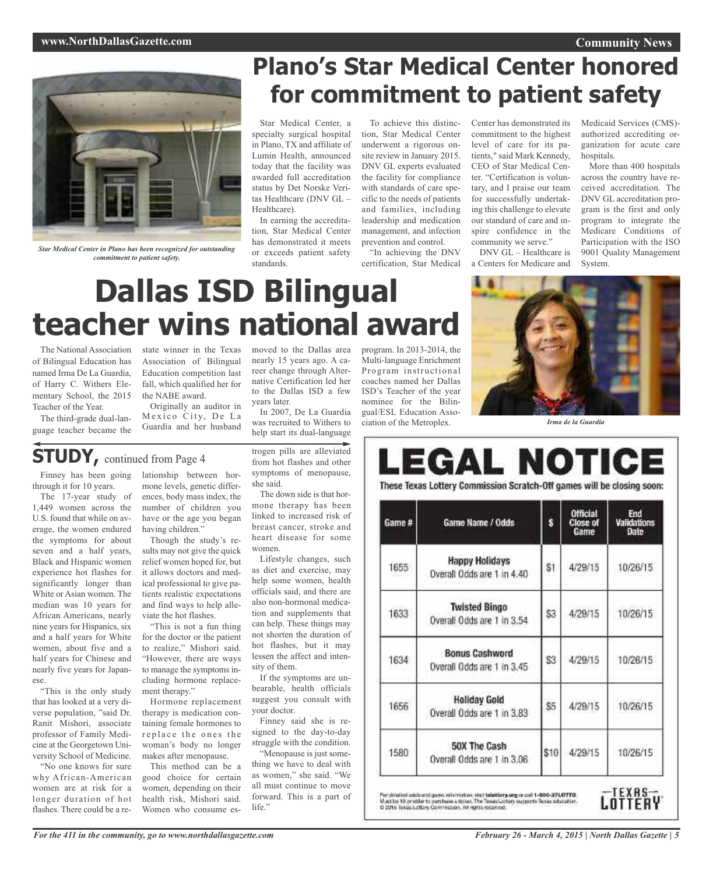## **Community News**

## **www.NorthDallasGazette.com**



*Star Medical Center in Plano has been recognized for outstanding commitment to patient safety.*

# **Plano's Star Medical Center honored for commitment to patient safety**

Star Medical Center, a specialty surgical hospital in Plano, TX and affiliate of Lumin Health, announced today that the facility was awarded full accreditation status by Det Norske Veritas Healthcare (DNV GL – Healthcare).

In earning the accreditation, Star Medical Center has demonstrated it meets or exceeds patient safety standards.

To achieve this distinction, Star Medical Center underwent a rigorous onsite review in January 2015. DNV GL experts evaluated the facility for compliance with standards of care specific to the needs of patients and families, including leadership and medication management, and infection prevention and control.

"In achieving the DNV certification, Star Medical Center has demonstrated its commitment to the highest level of care for its patients," said Mark Kennedy, CEO of Star Medical Center. "Certification is voluntary, and I praise our team for successfully undertaking this challenge to elevate our standard of care and inspire confidence in the community we serve."

DNV GL – Healthcare is a Centers for Medicare and Medicaid Services (CMS) authorized accrediting organization for acute care hospitals

More than 400 hospitals across the country have received accreditation. The DNV GL accreditation program is the first and only program to integrate the Medicare Conditions of Participation with the ISO 9001 Quality Management System.

# **Dallas ISD Bilingual teacher wins national award**

The National Association of Bilingual Education has named Irma De La Guardia, of Harry C. Withers Elementary School, the 2015 Teacher of the Year.

The third-grade dual-language teacher became the state winner in the Texas Association of Bilingual Education competition last fall, which qualified her for the NABE award.

Originally an auditor in Mexico City, De La Guardia and her husband

# **STUDY,** continued from Page <sup>4</sup>

Finney has been going through it for 10 years.

The 17-year study of 1,449 women across the U.S. found that while on average, the women endured the symptoms for about seven and a half years, Black and Hispanic women experience hot flashes for significantly longer than White or Asian women. The median was 10 years for African Americans, nearly nine years for Hispanics, six and a half years for White women, about five and a half years for Chinese and nearly five years for Japanese.

"This is the only study that has looked at a very diverse population, "said Dr. Ranit Mishori, associate professor of Family Medicine at the Georgetown University School of Medicine.

"No one knows for sure why African-American women are at risk for a longer duration of hot flashes. There could be a re-

lationship between hormone levels, genetic differences, body mass index, the number of children you have or the age you began having children."

Though the study's results may not give the quick relief women hoped for, but it allows doctors and medical professional to give patients realistic expectations and find ways to help alleviate the hot flashes.

"This is not a fun thing for the doctor or the patient to realize," Mishori said. "However, there are ways to manage the symptoms including hormone replacement therapy."

Hormone replacement therapy is medication containing female hormones to replace the ones the woman's body no longer makes after menopause.

This method can be a good choice for certain women, depending on their health risk, Mishori said. Women who consume estrogen pills are alleviated from hot flashes and other help start its dual-language

In 2007, De La Guardia was recruited to Withers to

years later.

moved to the Dallas area nearly 15 years ago. A career change through Alternative Certification led her to the Dallas ISD a few

symptoms of menopause, she said. The down side is that hormone therapy has been linked to increased risk of breast cancer, stroke and

heart disease for some women. Lifestyle changes, such as diet and exercise, may help some women, health officials said, and there are also non-hormonal medication and supplements that

can help. These things may not shorten the duration of hot flashes, but it may lessen the affect and intensity of them. If the symptoms are un-

bearable, health officials suggest you consult with your doctor.

Finney said she is resigned to the day-to-day struggle with the condition. "Menopause is just some-

thing we have to deal with as women," she said. "We all must continue to move forward. This is a part of life."

program. In 2013-2014, the Multi-language Enrichment Program instructional coaches named her Dallas ISD's Teacher of the year nominee for the Bilingual/ESL Education Association of the Metroplex.



*Irma de la Guardia*

### LEGAL NOTICE These Texas Lottery Commission Scratch-Off games will be closing soon: **Official** End **Validations**<br>Date Game # Game Name / Odds s **Close of**<br>Game **Happy Holidays** 1655 S1 4/29/15 10/26/15 Overall Odds are 1 in 4.40 **Twisted Bingo** \$3 4/29/15 10/26/15 1633 Overall Odds are 1 in 3.54 **Bonus Cashword** 1634 \$3 4/29/15 10/26/15 Overall Odds are 1 in 3.45 **Holiday Gold** 1656 \$5 4/29/15 10/26/15 Overall Odds are 1 in 3.83 50X The Cash

Overall Odds are 1 in 3.06

1580

For driamst odds and game mhemotion, what talettery, any or call 1-800-371.0710.<br>Most be 18 or obler to purchase a ticket. The Texas Lettery supports fisces scholation.<br>© 2016 Texas Letting Commission. All rights resolved.



10/26/15

4/29/15

\$10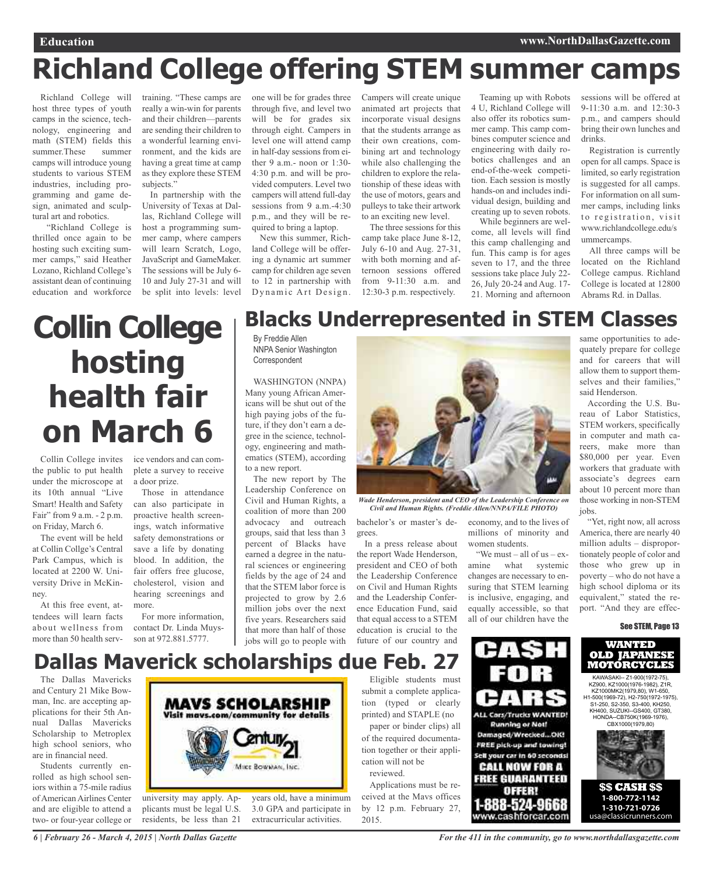# **Richland College offering STEM summer camps**

Richland College will host three types of youth camps in the science, technology, engineering and math (STEM) fields this summer.These summer camps will introduce young students to various STEM industries, including programming and game design, animated and sculptural art and robotics.

"Richland College is thrilled once again to be hosting such exciting summer camps," said Heather Lozano, Richland College's assistant dean of continuing education and workforce

training. "These camps are one will be for grades three really a win-win for parents and their children—parents are sending their children to a wonderful learning environment, and the kids are having a great time at camp as they explore these STEM subjects."

In partnership with the University of Texas at Dallas, Richland College will host a programming summer camp, where campers will learn Scratch, Logo, JavaScript and GameMaker. The sessions will be July 6- 10 and July 27-31 and will be split into levels: level

through five, and level two will be for grades six through eight. Campers in level one will attend camp in half-day sessions from either 9 a.m.- noon or 1:30- 4:30 p.m. and will be provided computers. Level two campers will attend full-day sessions from 9 a.m.-4:30 p.m., and they will be required to bring a laptop.

New this summer, Richland College will be offering a dynamic art summer camp for children age seven to 12 in partnership with Dynamic Art Design.

Campers will create unique animated art projects that incorporate visual designs that the students arrange as their own creations, combining art and technology while also challenging the children to explore the relationship of these ideas with the use of motors, gears and pulleys to take their artwork to an exciting new level.

The three sessions for this camp take place June 8-12, July 6-10 and Aug. 27-31, with both morning and afternoon sessions offered from 9-11:30 a.m. and 12:30-3 p.m. respectively.

Teaming up with Robots 4 U, Richland College will also offer its robotics summer camp. This camp combines computer science and engineering with daily robotics challenges and an end-of-the-week competition. Each session is mostly hands-on and includes individual design, building and creating up to seven robots.

While beginners are welcome, all levels will find this camp challenging and fun. This camp is for ages seven to 17, and the three sessions take place July 22- 26, July 20-24 and Aug. 17- 21. Morning and afternoon sessions will be offered at 9-11:30 a.m. and 12:30-3 p.m., and campers should bring their own lunches and drinks.

Registration is currently open for all camps. Space is limited, so early registration is suggested for all camps. For information on all summer camps, including links to registration, visit www.richlandcollege.edu/s ummercamps.

All three camps will be located on the Richland College campus. Richland College is located at 12800 Abrams Rd. in Dallas.

# **Collin College hosting health fair on March 6**

Collin College invites the public to put health under the microscope at its 10th annual "Live Smart! Health and Safety Fair" from 9 a.m. - 2 p.m. on Friday, March 6.

The event will be held at Collin Collge's Central Park Campus, which is located at 2200 W. University Drive in McKinney.

At this free event, attendees will learn facts about wellness from more than 50 health service vendors and can complete a survey to receive a door prize.

Those in attendance can also participate in proactive health screenings, watch informative safety demonstrations or save a life by donating blood. In addition, the fair offers free glucose, cholesterol, vision and hearing screenings and more.

For more information, contact Dr. Linda Muysson at 972.881.5777.

# **Blacks Underrepresented in STEM Classes**

By Freddie Allen NNPA Senior Washington **Correspondent** 

WASHINGTON (NNPA) Many young African Americans will be shut out of the high paying jobs of the future, if they don't earn a degree in the science, technology, engineering and mathematics (STEM), according to a new report.

The new report by The Leadership Conference on Civil and Human Rights, a coalition of more than 200 advocacy and outreach groups, said that less than 3 percent of Blacks have earned a degree in the natural sciences or engineering fields by the age of 24 and that the STEM labor force is projected to grow by 2.6 million jobs over the next five years. Researchers said that more than half of those jobs will go to people with



*Wade Henderson, president and CEO of the Leadership Conference on Civil and Human Rights. (Freddie Allen/NNPA/FILE PHOTO)*

women students.

"We must – all of us – examine what systemic changes are necessary to ensuring that STEM learning is inclusive, engaging, and equally accessible, so that all of our children have the

PISH

**ALL Cars/Trucks WANTED! Running or Not!** Damaged/Wrecked...OIG

FREE pick-up and towing! Sell your car in 60 seconds!

**CALL NOW FOR A FREE GUARANTEED** OFFER! 888-524-9668 www.cashforcar.com

ET I

bachelor's or master's degrees. economy, and to the lives of millions of minority and

In a press release about the report Wade Henderson, president and CEO of both the Leadership Conference on Civil and Human Rights and the Leadership Conference Education Fund, said that equal access to a STEM education is crucial to the future of our country and same opportunities to adequately prepare for college and for careers that will allow them to support themselves and their families," said Henderson.

According the U.S. Bureau of Labor Statistics, STEM workers, specifically in computer and math careers, make more than \$80,000 per year. Even workers that graduate with associate's degrees earn about 10 percent more than those working in non-STEM jobs.

"Yet, right now, all across America, there are nearly 40 million adults – disproportionately people of color and those who grew up in poverty – who do not have a high school diploma or its equivalent," stated the report. "And they are effec-

## See STEM, Page 13



KZ900, KZ1000(1976-1982), Z1R, KZ1000MK2(1979,80), W1-650, H1-500(1969-72), H2-750(1972-1975), S1-250, S2-350, S3-400, KH250, KH400, SUZUKI--GS400, GT380, HONDA--CB750K(1969-1976), CBX1000(1979,80)



**\$\$ CASH \$\$ 1-800-772-1142 1-310-721-0726**  usa@classicrunners.com

# **Dallas Maverick scholarships due Feb. 27**

The Dallas Mavericks and Century 21 Mike Bowman, Inc. are accepting applications for their 5th Annual Dallas Mavericks Scholarship to Metroplex high school seniors, who are in financial need.

Students currently enrolled as high school seniors within a 75-mile radius of American Airlines Center and are eligible to attend a two- or four-year college or



university may apply. Applicants must be legal U.S. residents, be less than 21

years old, have a minimum 3.0 GPA and participate in extracurricular activities.

Eligible students must submit a complete application (typed or clearly printed) and STAPLE (no

paper or binder clips) all of the required documentation together or their application will not be reviewed.

Applications must be received at the Mavs offices by 12 p.m. February 27, 2015.

*For the 411 in the community, go to www.northdallasgazette.com*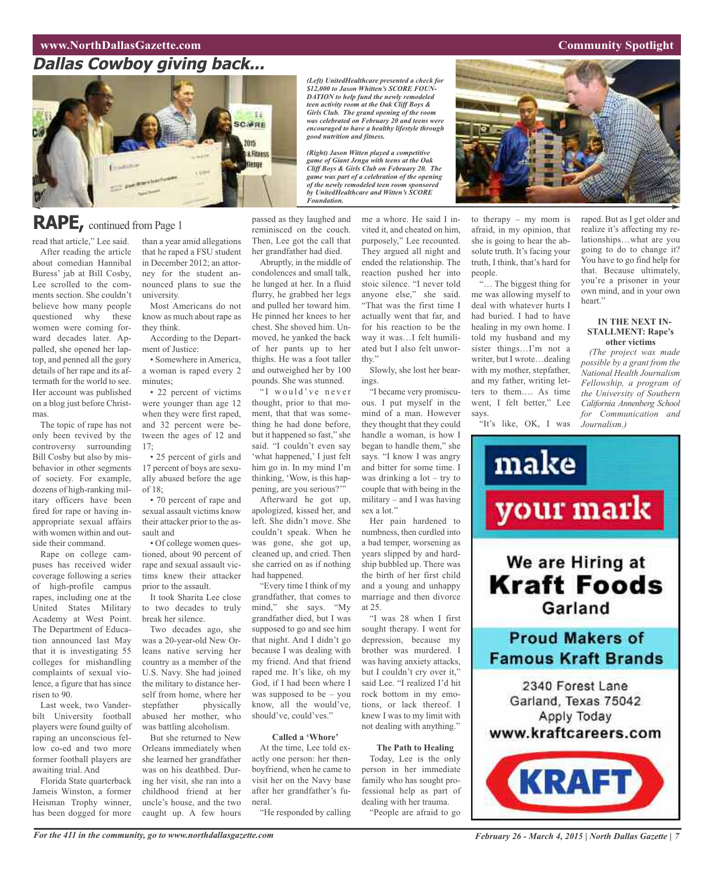# **www.NorthDallasGazette.com Community** Spotlight

# **Dallas Cowboy giving back...**



# **RAPE,** continued from Page <sup>1</sup>

read that article," Lee said. After reading the article about comedian Hannibal Buress' jab at Bill Cosby, Lee scrolled to the comments section. She couldn't believe how many people questioned why these women were coming forward decades later. Appalled, she opened her laptop, and penned all the gory details of her rape and its aftermath for the world to see. Her account was published on a blog just before Christmas.

The topic of rape has not only been revived by the controversy surrounding Bill Cosby but also by misbehavior in other segments of society. For example, dozens of high-ranking military officers have been fired for rape or having inappropriate sexual affairs with women within and outside their command.

Rape on college campuses has received wider coverage following a series of high-profile campus rapes, including one at the United States Military Academy at West Point. The Department of Education announced last May that it is investigating 55 colleges for mishandling complaints of sexual violence, a figure that has since risen to 90.

Last week, two Vanderbilt University football players were found guilty of raping an unconscious fellow co-ed and two more former football players are awaiting trial. And

Florida State quarterback Jameis Winston, a former Heisman Trophy winner, has been dogged for more

than a year amid allegations that he raped a FSU student in December 2012; an attorney for the student announced plans to sue the university.

Most Americans do not know as much about rape as they think.

According to the Department of Justice:

• Somewhere in America, a woman is raped every 2 minutes;

• 22 percent of victims were younger than age 12 when they were first raped, and 32 percent were between the ages of 12 and 17;

• 25 percent of girls and 17 percent of boys are sexually abused before the age of 18;

• 70 percent of rape and sexual assault victims know their attacker prior to the assault and

• Of college women questioned, about 90 percent of rape and sexual assault victims knew their attacker prior to the assault.

It took Sharita Lee close to two decades to truly break her silence.

Two decades ago, she was a 20-year-old New Orleans native serving her country as a member of the U.S. Navy. She had joined the military to distance herself from home, where her stepfather physically abused her mother, who was battling alcoholism.

But she returned to New Orleans immediately when she learned her grandfather was on his deathbed. During her visit, she ran into a childhood friend at her uncle's house, and the two caught up. A few hours

passed as they laughed and reminisced on the couch. Then, Lee got the call that

*Foundation.*

her grandfather had died. Abruptly, in the middle of condolences and small talk, he lunged at her. In a fluid flurry, he grabbed her legs and pulled her toward him. He pinned her knees to her chest. She shoved him. Unmoved, he yanked the back of her pants up to her thighs. He was a foot taller and outweighed her by 100 pounds. She was stunned.

"I would've never thought, prior to that moment, that that was something he had done before, but it happened so fast," she said. "I couldn't even say 'what happened,' I just felt him go in. In my mind I'm thinking, 'Wow, is this happening, are you serious?'"

Afterward he got up, apologized, kissed her, and left. She didn't move. She couldn't speak. When he was gone, she got up, cleaned up, and cried. Then she carried on as if nothing had happened.

"Every time I think of my grandfather, that comes to mind," she says. "My grandfather died, but I was supposed to go and see him that night. And I didn't go because I was dealing with my friend. And that friend raped me. It's like, oh my God, if I had been where I was supposed to be – you know, all the would've, should've, could'ves."

## **Called a 'Whore'**

At the time, Lee told exactly one person: her thenboyfriend, when he came to visit her on the Navy base after her grandfather's funeral.

"He responded by calling

me a whore. He said I invited it, and cheated on him, purposely," Lee recounted. They argued all night and ended the relationship. The reaction pushed her into stoic silence. "I never told anyone else," she said. "That was the first time I actually went that far, and for his reaction to be the way it was…I felt humiliated but I also felt unworthy."

*(Left) UnitedHealthcare presented a check for \$12,000 to Jason Whitten's SCORE FOUN-DATION to help fund the newly remodeled teen activity room at the Oak Cliff Boys & Girls Club. The grand opening of the room was celebrated on February 20 and teens were encouraged to have a healthy lifestyle through*

*(Right) Jason Witten played a competitive game of Giant Jenga with teens at the Oak Cliff Boys & Girls Club on February 20. The game was part of a celebration of the opening of the newly remodeled teen room sponsored by UnitedHealthcare and Witten's SCORE*

*good nutrition and fitness.*

Slowly, she lost her bearings.

"I became very promiscuous. I put myself in the mind of a man. However they thought that they could handle a woman, is how I began to handle them," she says. "I know I was angry and bitter for some time. I was drinking a lot – try to couple that with being in the military – and I was having sex a lot."

Her pain hardened to numbness, then curdled into a bad temper, worsening as years slipped by and hardship bubbled up. There was the birth of her first child and a young and unhappy marriage and then divorce at 25.

"I was 28 when I first sought therapy. I went for depression, because my brother was murdered. I was having anxiety attacks, but I couldn't cry over it," said Lee. "I realized I'd hit rock bottom in my emotions, or lack thereof. I knew I was to my limit with not dealing with anything."

## **The Path to Healing**

Today, Lee is the only person in her immediate family who has sought professional help as part of dealing with her trauma.

"People are afraid to go



to therapy – my mom is afraid, in my opinion, that she is going to hear the absolute truth. It's facing your truth, I think, that's hard for

"… The biggest thing for me was allowing myself to deal with whatever hurts I had buried. I had to have healing in my own home. I told my husband and my sister things…I'm not a writer, but I wrote…dealing with my mother, stepfather, and my father, writing letters to them…. As time went, I felt better," Lee

"It's like, OK, I was

people.

says.

raped. But as I get older and realize it's affecting my relationships…what are you going to do to change it? You have to go find help for that. Because ultimately, you're a prisoner in your own mind, and in your own heart."

### **IN THE NEXT IN-STALLMENT: Rape's other victims**

*(The project was made possible by a grant from the National Health Journalism Fellowship, a program of the University of Southern California Annenberg School for Communication and Journalism.)*

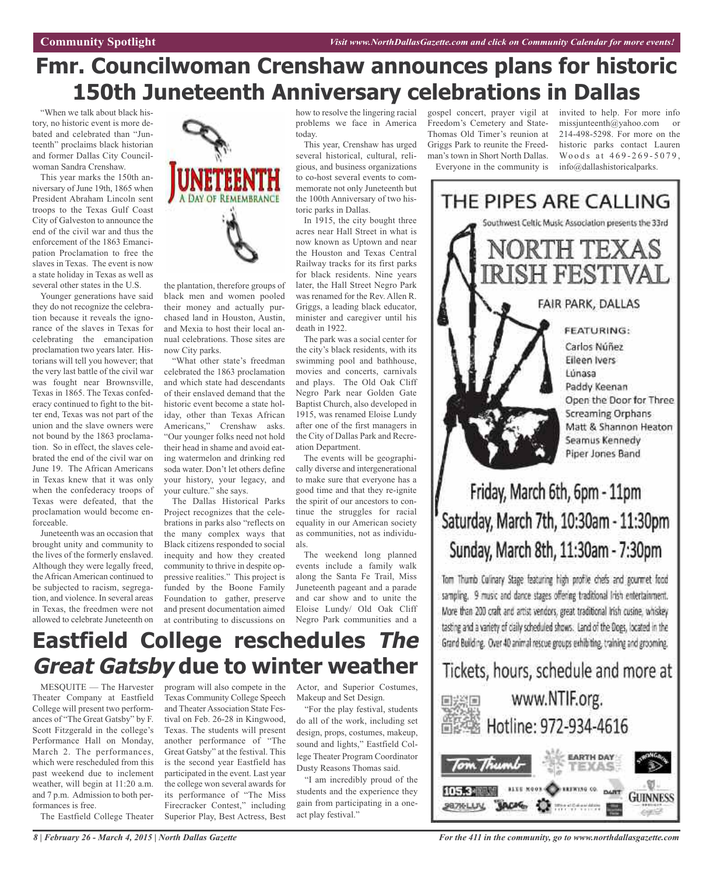# **Fmr. Councilwoman Crenshaw announces plans for historic 150th Juneteenth Anniversary celebrations in Dallas**

"When we talk about black history, no historic event is more debated and celebrated than "Junteenth" proclaims black historian and former Dallas City Councilwoman Sandra Crenshaw.

This year marks the 150th anniversary of June 19th, 1865 when President Abraham Lincoln sent troops to the Texas Gulf Coast City of Galveston to announce the end of the civil war and thus the enforcement of the 1863 Emancipation Proclamation to free the slaves in Texas. The event is now a state holiday in Texas as well as several other states in the U.S.

Younger generations have said they do not recognize the celebration because it reveals the ignorance of the slaves in Texas for celebrating the emancipation proclamation two years later. Historians will tell you however; that the very last battle of the civil war was fought near Brownsville, Texas in 1865. The Texas confederacy continued to fight to the bitter end, Texas was not part of the union and the slave owners were not bound by the 1863 proclamation. So in effect, the slaves celebrated the end of the civil war on June 19. The African Americans in Texas knew that it was only when the confederacy troops of Texas were defeated, that the proclamation would become enforceable.

Juneteenth was an occasion that brought unity and community to the lives of the formerly enslaved. Although they were legally freed, the African American continued to be subjected to racism, segregation, and violence. In several areas in Texas, the freedmen were not allowed to celebrate Juneteenth on



the plantation, therefore groups of black men and women pooled their money and actually purchased land in Houston, Austin, and Mexia to host their local annual celebrations. Those sites are now City parks.

"What other state's freedman celebrated the 1863 proclamation and which state had descendants of their enslaved demand that the historic event become a state holiday, other than Texas African Americans," Crenshaw asks. "Our younger folks need not hold their head in shame and avoid eating watermelon and drinking red soda water. Don't let others define your history, your legacy, and your culture." she says.

The Dallas Historical Parks Project recognizes that the celebrations in parks also "reflects on the many complex ways that Black citizens responded to social inequity and how they created community to thrive in despite oppressive realities." This project is funded by the Boone Family Foundation to gather, preserve and present documentation aimed at contributing to discussions on how to resolve the lingering racial problems we face in America today.

This year, Crenshaw has urged several historical, cultural, religious, and business organizations to co-host several events to commemorate not only Juneteenth but the 100th Anniversary of two historic parks in Dallas.

In 1915, the city bought three acres near Hall Street in what is now known as Uptown and near the Houston and Texas Central Railway tracks for its first parks for black residents. Nine years later, the Hall Street Negro Park was renamed for the Rev. Allen R. Griggs, a leading black educator, minister and caregiver until his death in 1922.

The park was a social center for the city's black residents, with its swimming pool and bathhouse, movies and concerts, carnivals and plays. The Old Oak Cliff Negro Park near Golden Gate Baptist Church, also developed in 1915, was renamed Eloise Lundy after one of the first managers in the City of Dallas Park and Recreation Department.

The events will be geographically diverse and intergenerational to make sure that everyone has a good time and that they re-ignite the spirit of our ancestors to continue the struggles for racial equality in our American society as communities, not as individuals.

The weekend long planned events include a family walk along the Santa Fe Trail, Miss Juneteenth pageant and a parade and car show and to unite the Eloise Lundy/ Old Oak Cliff Negro Park communities and a

gospel concert, prayer vigil at Freedom's Cemetery and State-Thomas Old Timer's reunion at Griggs Park to reunite the Freedman's town in Short North Dallas. Everyone in the community is

invited to help. For more info missiunteenth@yahoo.com or 214-498-5298. For more on the historic parks contact Lauren Woods at 469-269-5079, info@dallashistoricalparks.



# Friday, March 6th, 6pm - 11pm Saturday, March 7th, 10:30am - 11:30pm Sunday, March 8th, 11:30am - 7:30pm

Tom Thumb Culinary Stage featuring high profile chefs and gourmet food sampling. 9 music and dance stages offering traditional Irish entertainment. More than 200 craft and artist vendors, great traditional Irish cusine, whiskey tasting and a variety of cally scheduled shows. Land of the Dogs, located in the Grand Building. Over 40 animal rescue groups exhibiting, training and grooming.

# Tickets, hours, schedule and more at



# **Eastfield College reschedules The Great Gatsby due to winter weather**

MESQUITE — The Harvester Theater Company at Eastfield College will present two performances of "The Great Gatsby" by F. Scott Fitzgerald in the college's Performance Hall on Monday, March 2. The performances, which were rescheduled from this past weekend due to inclement weather, will begin at 11:20 a.m. and 7 p.m. Admission to both performances is free.

The Eastfield College Theater

program will also compete in the Texas Community College Speech and Theater Association State Festival on Feb. 26-28 in Kingwood, Texas. The students will present another performance of "The Great Gatsby" at the festival. This is the second year Eastfield has participated in the event. Last year the college won several awards for its performance of "The Miss Firecracker Contest," including Superior Play, Best Actress, Best

Actor, and Superior Costumes, Makeup and Set Design.

"For the play festival, students do all of the work, including set design, props, costumes, makeup, sound and lights," Eastfield College Theater Program Coordinator Dusty Reasons Thomas said.

"I am incredibly proud of the students and the experience they gain from participating in a oneact play festival."

*For the 411 in the community, go to www.northdallasgazette.com*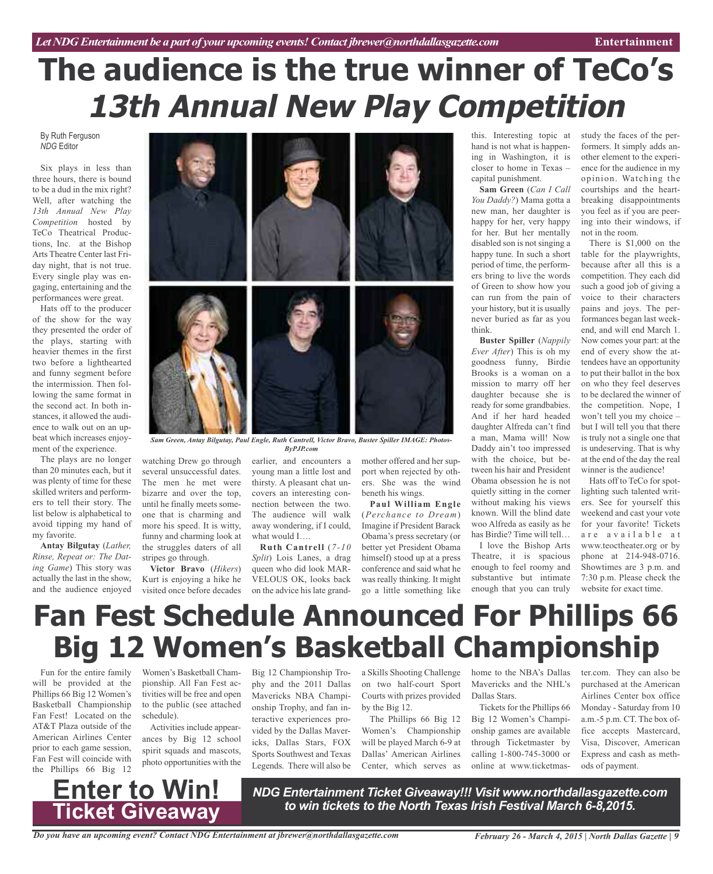# **The audience is the true winner of TeCo's 13th Annual New Play Competition**

By Ruth Ferguson *NDG* Editor

Six plays in less than three hours, there is bound to be a dud in the mix right? Well, after watching the *13th Annual New Play Competition* hosted by TeCo Theatrical Productions, Inc. at the Bishop Arts Theatre Center last Friday night, that is not true. Every single play was engaging, entertaining and the performances were great.

Hats off to the producer of the show for the way they presented the order of the plays, starting with heavier themes in the first two before a lighthearted and funny segment before the intermission. Then following the same format in the second act. In both instances, it allowed the audience to walk out on an upbeat which increases enjoyment of the experience.

The plays are no longer than 20 minutes each, but it was plenty of time for these skilled writers and performers to tell their story. The list below is alphabetical to avoid tipping my hand of my favorite.

**Antay Bilgutay** (*Lather, Rinse, Repeat or: The Dating Game*) This story was actually the last in the show, and the audience enjoyed



*Sam Green, Antay Bilgutay, Paul Engle, Ruth Cantrell, Victor Bravo, Buster Spiller IMAGE: Photos-ByPJP.com*

watching Drew go through several unsuccessful dates. The men he met were bizarre and over the top, until he finally meets someone that is charming and more his speed. It is witty, funny and charming look at the struggles daters of all stripes go through.

**Victor Bravo** (*Hikers*) Kurt is enjoying a hike he earlier, and encounters a young man a little lost and thirsty. A pleasant chat uncovers an interesting connection between the two. The audience will walk away wondering, if I could,

visited once before decades on the advice his late grandwhat would I…. **Ruth Cantrell** (*7-10 Split*) Lois Lanes, a drag queen who did look MAR-VELOUS OK, looks back

mother offered and her support when rejected by others. She was the wind beneth his wings.

**Paul William Engle** (*Perchance to Dream*) Imagine if President Barack Obama's press secretary (or better yet President Obama himself) stood up at a press conference and said what he was really thinking. It might go a little something like this. Interesting topic at hand is not what is happening in Washington, it is closer to home in Texas – capital punishment.

**Sam Green** (*Can I Call You Daddy?*) Mama gotta a new man, her daughter is happy for her, very happy for her. But her mentally disabled son is not singing a happy tune. In such a short period of time, the performers bring to live the words of Green to show how you can run from the pain of your history, but it is usually never buried as far as you think.

**Buster Spiller** (*Nappily Ever After*) This is oh my goodness funny, Birdie Brooks is a woman on a mission to marry off her daughter because she is ready for some grandbabies. And if her hard headed daughter Alfreda can't find a man, Mama will! Now Daddy ain't too impressed with the choice, but between his hair and President Obama obsession he is not quietly sitting in the corner without making his views known. Will the blind date woo Alfreda as easily as he has Birdie? Time will tell…

I love the Bishop Arts Theatre, it is spacious enough to feel roomy and substantive but intimate enough that you can truly

study the faces of the performers. It simply adds another element to the experience for the audience in my opinion. Watching the courtships and the heartbreaking disappointments you feel as if you are peering into their windows, if not in the room.

There is \$1,000 on the table for the playwrights, because after all this is a competition. They each did such a good job of giving a voice to their characters pains and joys. The performances began last weekend, and will end March 1. Now comes your part: at the end of every show the attendees have an opportunity to put their ballot in the box on who they feel deserves to be declared the winner of the competition. Nope, I won't tell you my choice – but I will tell you that there is truly not a single one that is undeserving. That is why at the end of the day the real winner is the audience!

Hats off to TeCo for spotlighting such talented writers. See for yourself this weekend and cast your vote for your favorite! Tickets are available at www.teoctheater.org or by phone at 214-948-0716. Showtimes are 3 p.m. and 7:30 p.m. Please check the website for exact time.

# **Fan Fest Schedule Announced For Phillips 66 Big 12 Women's Basketball Championship**

Fun for the entire family will be provided at the Phillips 66 Big 12 Women's Basketball Championship Fan Fest! Located on the AT&T Plaza outside of the American Airlines Center prior to each game session, Fan Fest will coincide with the Phillips 66 Big 12



Activities include appearances by Big 12 school spirit squads and mascots, photo opportunities with the

phy and the 2011 Dallas Mavericks NBA Championship Trophy, and fan interactive experiences provided by the Dallas Mavericks, Dallas Stars, FOX Sports Southwest and Texas Legends. There will also be on two half-court Sport Courts with prizes provided by the Big 12.

The Phillips 66 Big 12 Women's Championship will be played March 6-9 at Dallas' American Airlines Center, which serves as

Big 12 Championship Tro-a Skills Shooting Challenge home to the NBA's Dallas ter.com. They can also be Mavericks and the NHL's Dallas Stars.

> Tickets for the Phillips 66 Big 12 Women's Championship games are available through Ticketmaster by calling 1-800-745-3000 or online at www.ticketmas

purchased at the American Airlines Center box office Monday - Saturday from 10 a.m.-5 p.m. CT. The box office accepts Mastercard, Visa, Discover, American Express and cash as methods of payment.

# **Ticket Giveaway**

*NDG Entertainment Ticket Giveaway!!! Visit www.northdallasgazette.com to win tickets to the North Texas Irish Festival March 6-8,2015.* **Enter to Win!**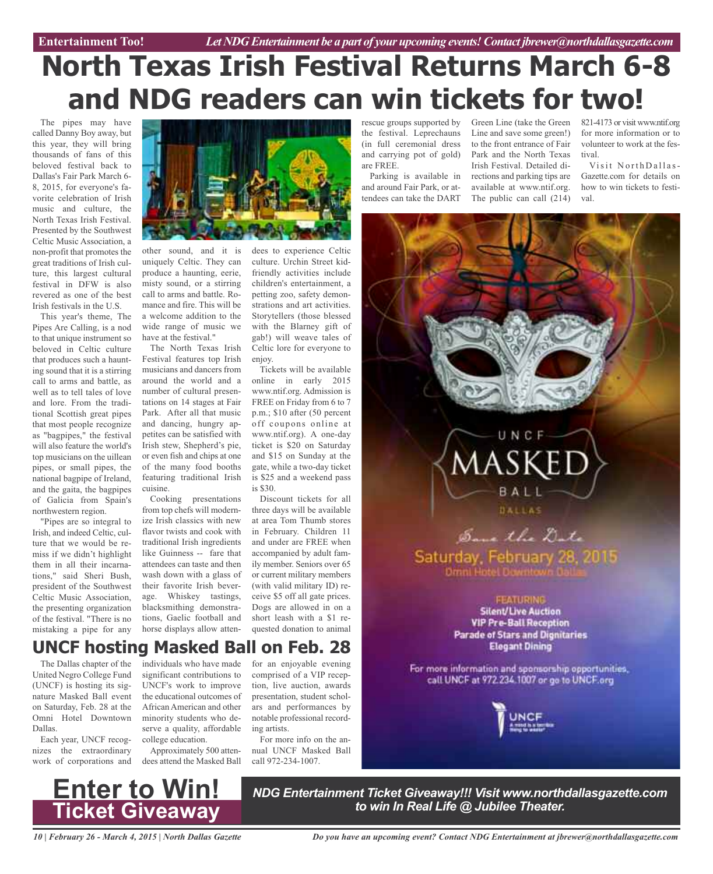# **North Texas Irish Festival Returns March 6-8 and NDG readers can win tickets for two!**

The pipes may have called Danny Boy away, but this year, they will bring thousands of fans of this beloved festival back to Dallas's Fair Park March 6- 8, 2015, for everyone's favorite celebration of Irish music and culture, the North Texas Irish Festival. Presented by the Southwest Celtic Music Association, a non-profit that promotes the great traditions of Irish culture, this largest cultural festival in DFW is also revered as one of the best Irish festivals in the U.S.

This year's theme, The Pipes Are Calling, is a nod to that unique instrument so beloved in Celtic culture that produces such a haunting sound that it is a stirring call to arms and battle, as well as to tell tales of love and lore. From the traditional Scottish great pipes that most people recognize as "bagpipes," the festival will also feature the world's top musicians on the uillean pipes, or small pipes, the national bagpipe of Ireland, and the gaita, the bagpipes of Galicia from Spain's northwestern region.

"Pipes are so integral to Irish, and indeed Celtic, culture that we would be remiss if we didn't highlight them in all their incarnations," said Sheri Bush, president of the Southwest Celtic Music Association, the presenting organization of the festival. "There is no mistaking a pipe for any



other sound, and it is uniquely Celtic. They can produce a haunting, eerie, misty sound, or a stirring call to arms and battle. Romance and fire. This will be a welcome addition to the wide range of music we have at the festival."

The North Texas Irish Festival features top Irish musicians and dancers from around the world and a number of cultural presentations on 14 stages at Fair Park. After all that music and dancing, hungry appetites can be satisfied with Irish stew, Shepherd's pie, or even fish and chips at one of the many food booths featuring traditional Irish cuisine.

Cooking presentations from top chefs will modernize Irish classics with new flavor twists and cook with traditional Irish ingredients like Guinness -- fare that attendees can taste and then wash down with a glass of their favorite Irish beverage. Whiskey tastings, blacksmithing demonstrations, Gaelic football and horse displays allow atten-

dees to experience Celtic culture. Urchin Street kidfriendly activities include children's entertainment, a petting zoo, safety demonstrations and art activities. Storytellers (those blessed with the Blarney gift of gab!) will weave tales of Celtic lore for everyone to enjoy.

Tickets will be available online in early 2015 www.ntif.org. Admission is FREE on Friday from 6 to 7 p.m.; \$10 after (50 percent off coupons online at www.ntif.org). A one-day ticket is \$20 on Saturday and \$15 on Sunday at the gate, while a two-day ticket is \$25 and a weekend pass is \$30.

Discount tickets for all three days will be available at area Tom Thumb stores in February. Children 11 and under are FREE when accompanied by adult family member. Seniors over 65 or current military members (with valid military ID) receive \$5 off all gate prices. Dogs are allowed in on a short leash with a \$1 requested donation to animal

rescue groups supported by the festival. Leprechauns (in full ceremonial dress and carrying pot of gold) are FREE.

Parking is available in and around Fair Park, or attendees can take the DART

Green Line (take the Green Line and save some green!) to the front entrance of Fair Park and the North Texas Irish Festival. Detailed directions and parking tips are available at www.ntif.org. The public can call (214)

821-4173 or visit www.ntif.org for more information or to volunteer to work at the festival.

Visit NorthDallas-Gazette.com for details on how to win tickets to festival.



# **UNCF hosting Masked Ball on Feb. 28**

The Dallas chapter of the United Negro College Fund (UNCF) is hosting its signature Masked Ball event on Saturday, Feb. 28 at the Omni Hotel Downtown Dallas.

Each year, UNCF recognizes the extraordinary work of corporations and dees attend the Masked Ball

individuals who have made significant contributions to UNCF's work to improve the educational outcomes of African American and other minority students who deserve a quality, affordable college education.

Approximately 500 atten-

for an enjoyable evening comprised of a VIP reception, live auction, awards presentation, student scholars and performances by notable professional recording artists.

For more info on the annual UNCF Masked Ball call 972-234-1007.

**Ticket Giveaway**

*NDG Entertainment Ticket Giveaway!!! Visit www.northdallasgazette.com* **k** *to**Win! NDG Entertainment Ticket Giveaway!!! Visit www.north*<br>Ticket Giveaway

*10 | February 26 - March 4, 2015 | North Dallas Gazette*

*Do you have an upcoming event? Contact NDG Entertainment at jbrewer@northdallasgazette.com*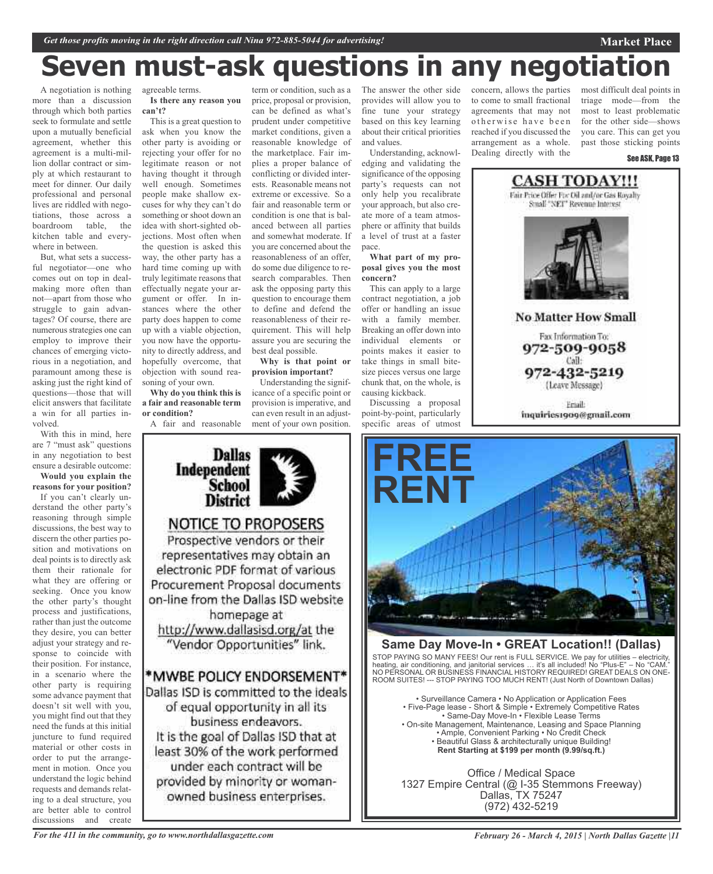# **Seven must-ask questions in any negotiation**

A negotiation is nothing more than a discussion through which both parties seek to formulate and settle upon a mutually beneficial agreement, whether this agreement is a multi-million dollar contract or simply at which restaurant to meet for dinner. Our daily professional and personal lives are riddled with negotiations, those across a boardroom table, the kitchen table and everywhere in between.

But, what sets a successful negotiator—one who comes out on top in dealmaking more often than not—apart from those who struggle to gain advantages? Of course, there are numerous strategies one can employ to improve their chances of emerging victorious in a negotiation, and paramount among these is asking just the right kind of questions—those that will elicit answers that facilitate a win for all parties involved.

With this in mind, here are 7 "must ask" questions in any negotiation to best ensure a desirable outcome: **Would you explain the**

**reasons for your position?** If you can't clearly understand the other party's reasoning through simple discussions, the best way to discern the other parties position and motivations on deal points is to directly ask them their rationale for what they are offering or seeking. Once you know the other party's thought process and justifications, rather than just the outcome they desire, you can better adjust your strategy and response to coincide with their position. For instance, in a scenario where the other party is requiring some advance payment that doesn't sit well with you, you might find out that they need the funds at this initial juncture to fund required material or other costs in order to put the arrangement in motion. Once you understand the logic behind requests and demands relating to a deal structure, you are better able to control discussions and create

agreeable terms. **Is there any reason you can't?**

This is a great question to ask when you know the other party is avoiding or rejecting your offer for no legitimate reason or not having thought it through well enough. Sometimes people make shallow excuses for why they can't do something or shoot down an idea with short-sighted objections. Most often when the question is asked this way, the other party has a hard time coming up with truly legitimate reasons that effectually negate your argument or offer. In instances where the other party does happen to come up with a viable objection, you now have the opportunity to directly address, and hopefully overcome, that objection with sound reasoning of your own.

**Why do you think this is a fair and reasonable term or condition?**

A fair and reasonable

**Dallas** 

**School District** 

**NOTICE TO PROPOSERS** Prospective vendors or their representatives may obtain an electronic PDF format of various Procurement Proposal documents on-line from the Dallas ISD website homepage at http://www.dallasisd.org/at the "Vendor Opportunities" link.

\*MWBE POLICY ENDORSEMENT\* Dallas ISD is committed to the ideals of equal opportunity in all its business endeavors. It is the goal of Dallas ISD that at least 30% of the work performed under each contract will be provided by minority or womanowned business enterprises.

Independent

term or condition, such as a price, proposal or provision, can be defined as what's prudent under competitive market conditions, given a reasonable knowledge of the marketplace. Fair implies a proper balance of conflicting or divided interests. Reasonable means not extreme or excessive. So a fair and reasonable term or condition is one that is balanced between all parties and somewhat moderate. If you are concerned about the reasonableness of an offer, do some due diligence to research comparables. Then ask the opposing party this question to encourage them to define and defend the reasonableness of their requirement. This will help assure you are securing the best deal possible. **Why is that point or**

**provision important?**

Understanding the significance of a specific point or provision is imperative, and can even result in an adjustment of your own position. The answer the other side provides will allow you to fine tune your strategy based on this key learning about their critical priorities and values.

Understanding, acknowledging and validating the significance of the opposing party's requests can not only help you recalibrate your approach, but also create more of a team atmosphere or affinity that builds a level of trust at a faster pace.

**What part of my proposal gives you the most concern?**

This can apply to a large contract negotiation, a job offer or handling an issue with a family member. Breaking an offer down into individual elements or points makes it easier to take things in small bitesize pieces versus one large chunk that, on the whole, is causing kickback.

Discussing a proposal point-by-point, particularly specific areas of utmost concern, allows the parties to come to small fractional agreements that may not otherwise have been reached if you discussed the arrangement as a whole. Dealing directly with the

most difficult deal points in triage mode—from the most to least problematic for the other side—shows you care. This can get you past those sticking points

**Market Place**





Fax Information To: 972-509-9058 Call: 972-432-5219

(Leave Message)

Friail: inquiries1909@gmail.com



## **Same Day Move-In • GREAT Location!! (Dallas)**

STOP PAYING SO MANY FEES! Our rent is FULL SERVICE. We pay for utilities – electricity, heating, air conditioning, and janitorial services … it's all included! No "Plus-E" – No "CAM." NO PERSONAL OR BUSINESS FINANCIAL HISTORY REQUIRED! GREAT DEALS ON ONE-ROOM SUITES! --- STOP PAYING TOO MUCH RENT! (Just North of Downtown Dallas)

• Surveillance Camera • No Application or Application Fees • Five-Page lease - Short & Simple • Extremely Competitive Rates • Same-Day Move-In • Flexible Lease Terms • On-site Management, Maintenance, Leasing and Space Planning • Ample, Convenient Parking • No Credit Check • Beautiful Glass & architecturally unique Building! **Rent Starting at \$199 per month (9.99/sq.ft.)**

Office / Medical Space 1327 Empire Central (@ I-35 Stemmons Freeway) Dallas, TX 75247 (972) 432-5219

*For the 411 in the community, go to www.northdallasgazette.com*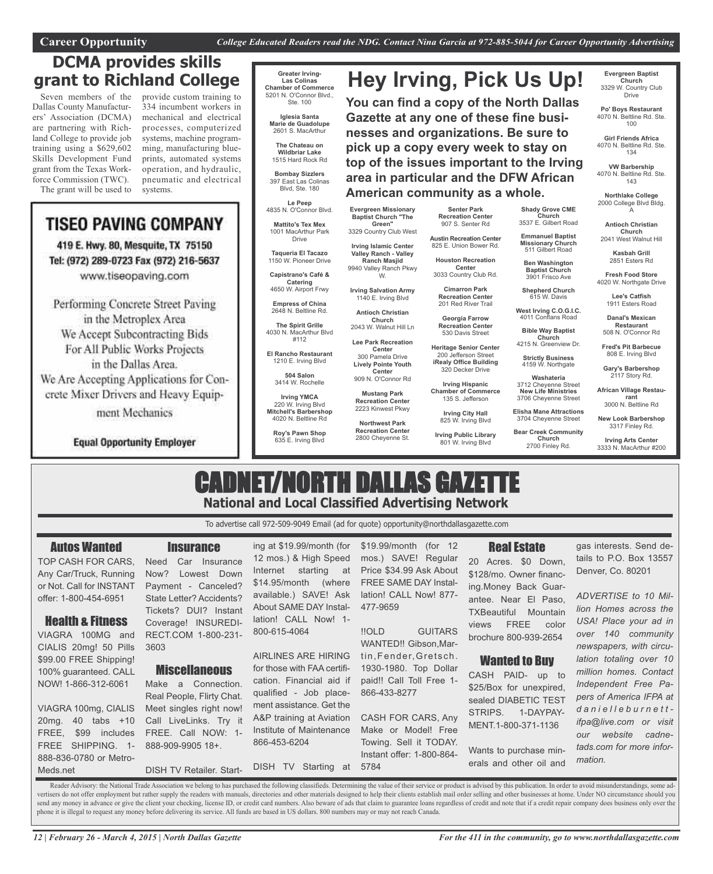# **DCMA provides skills grant to Richland College**

Seven members of the Dallas County Manufacturers' Association (DCMA) are partnering with Richland College to provide job training using a \$629,602 Skills Development Fund grant from the Texas Workforce Commission (TWC). The grant will be used to provide custom training to 334 incumbent workers in mechanical and electrical processes, computerized systems, machine programming, manufacturing blueprints, automated systems operation, and hydraulic, pneumatic and electrical systems.

# **TISEO PAVING COMPANY**

419 E. Hwy. 80, Mesquite, TX 75150 Tel: (972) 289-0723 Fax (972) 216-5637 www.tiseopaving.com

Performing Concrete Street Paving in the Metroplex Area We Accept Subcontracting Bids For All Public Works Projects in the Dallas Area. We Are Accepting Applications for Con-

crete Mixer Drivers and Heavy Equipment Mechanics

**Equal Opportunity Employer** 

### **Greater Irving-Las Colinas Chamber of Commerce** 5201 N. O'Connor Blvd.,

**Iglesia Santa** 2601 S. MacArthur

> **The Chateau on Wildbriar Lake** 1515 Hard Rock Rd

**Bombay Sizzlers** 397 East Las Colinas Blvd, Ste. 180

**Le Peep** 4835 N. O'Connor Blvd.

Drive

**Taqueria El Tacazo** 1150 W. Pioneer Drive **Capistrano's Café &**

**Catering** 4650 W. Airport Frwy

**Empress of China** 2648 N. Beltline Rd.

**The Spirit Grille** 4030 N. MacArthur Blvd #112

**El Rancho Restaurant** 1210 E. Irving Blvd

> **504 Salon** 3414 W. Rochelle

**Irving YMCA** 220 W. Irving Blvd

**Mitchell's Barbershop** 4020 N. Beltline Rd

**Roy's Pawn Shop** 635 E. Irving Blvd

Ste. 100

**Marie de Guadolupe**

**Mattito's Tex Mex** 1001 MacArthur Park

> **Irving Islamic Center Valley Ranch - Valley** 9940 Valley Ranch Pkwy

**Irving Salvation Army**

1140 E. Irving Blvd **Antioch Christian**

> **Church** 2043 W. Walnut Hill Ln

> > **Center** 300 Pamela Drive **Lively Pointe Youth Center** 909 N. O'Connor Rd

**Lee Park Recreation**

**Evergreen Missionary Baptist Church "The Green"** 3329 Country Club West

**Ranch Masjid**

W.

**Mustang Park Recreation Center** 2223 Kinwest Pkwy

**Northwest Park Recreation Center**

2800 Cheyenne St.

**Austin Recreation Center** 825 E. Union Bower Rd. **Houston Recreation Center<br>.3033 Country Club Rd** 

**Senter Park Recreation Center** 907 S. Senter Rd

**American community as a whole.**

**Hey Irving, Pick Us Up!**

**You can find a copy of the North Dallas Gazette at any one of these fine businesses and organizations. Be sure to pick up a copy every week to stay on top of the issues important to the Irving area in particular and the DFW African**

> **Cimarron Park Recreation Center**

201 Red River Trail **Georgia Farrow**

**Recreation Center** 530 Davis Street **Heritage Senior Center**

200 Jefferson Street **iRealy Office Building** 320 Decker Drive

> **Irving Hispanic Chamber of Commerce** 135 S. Jefferson

> > **Irving City Hall** 825 W. Irving Blvd

**Irving Public Library** 801 W. Irving Blvd

**Evergreen Baptist Church** 3329 W. Country Club Drive

**Po' Boys Restaurant** 4070 N. Beltline Rd. Ste. 100

**Girl Friends Africa** 4070 N. Beltline Rd. Ste. 134

**VW Barbership** 4070 N. Beltline Rd. Ste. 143

**Northlake College** 2000 College Blvd Bldg. A

**Shady Grove CME Church** 3537 E. Gilbert Road **Emmanuel Baptist Missionary Church** 511 Gilbert Road **Ben Washington Baptist Church** 3901 Frisco Ave

**Shepherd Church** 615 W. Davis

**West Irving C.O.G.I.C.** 4011 Conflans Road **Bible Way Baptist Church** 4215 N. Greenview Dr.

**Strictly Business** 4159 W. Northgate

**Washateria** 3712 Cheyenne Street **New Life Ministries** 3706 Cheyenne Street **Elisha Mane Attractions** 3704 Cheyenne Street **Bear Creek Community Church** 2700 Finley Rd.

**Antioch Christian Church** 2041 West Walnut Hill

**Kasbah Grill** 2851 Esters Rd

**Fresh Food Store** 4020 W. Northgate Drive

> **Lee's Catfish** 1911 Esters Road

**Danal's Mexican Restaurant** 508 N. O'Connor Rd

**Fred's Pit Barbecue** 808 E. Irving Blvd

**Gary's Barbershop** 2117 Story Rd.

**African Village Restaurant** 3000 N. Beltline Rd

**New Look Barbershop** 3317 Finley Rd.

**Irving Arts Center** 3333 N. MacArthur #200

# CADNET/NORTH DALLAS GAZETTE **National and Local Classified Advertising Network**

To advertise call 972-509-9049 Email (ad for quote) opportunity@northdallasgazette.com

# Autos Wanted

TOP CASH FOR CARS, Any Car/Truck, Running or Not. Call for INSTANT offer: 1-800-454-6951

Health & Fitness VIAGRA 100MG and CIALIS 20mg! 50 Pills \$99.00 FREE Shipping! 100% guaranteed. CALL NOW! 1-866-312-6061

VIAGRA 100mg, CIALIS 20mg. 40 tabs +10 FREE, \$99 includes FREE SHIPPING. 1- 888-836-0780 or Metro-

Meds.net

Now? Lowest Down Payment - Canceled? State Letter? Accidents? Tickets? DUI? Instant

**Insurance** 

RECT.COM 1-800-231- 3603

## **Miscellaneous**

Make a Connection. Real People, Flirty Chat. Meet singles right now! Call LiveLinks. Try it FREE. Call NOW: 1- 888-909-9905 18+.

ing at \$19.99/month (for 12 mos.) & High Speed Internet starting at \$14.95/month (where available.) SAVE! Ask About SAME DAY Installation! CALL Now! 1- 800-615-4064

AIRLINES ARE HIRING for those with FAA certification. Financial aid if qualified - Job placement assistance. Get the A&P training at Aviation Institute of Maintenance 866-453-6204

DISH TV Retailer. Start-DISH TV Starting at

\$19.99/month (for 12 mos.) SAVE! Regular Price \$34.99 Ask About FREE SAME DAY Installation! CALL Now! 877- 477-9659

!!OLD GUITARS WANTED!! Gibson,Martin, Fender, Gretsch. 1930-1980. Top Dollar paid!! Call Toll Free 1- 866-433-8277

CASH FOR CARS, Any Make or Model! Free Towing. Sell it TODAY. Instant offer: 1-800-864- 5784

# Real Estate

20 Acres. \$0 Down, \$128/mo. Owner financing.Money Back Guarantee. Near El Paso, TXBeautiful Mountain views FREE color brochure 800-939-2654

# Wanted to Buy

CASH PAID- up to \$25/Box for unexpired, sealed DIABETIC TEST STRIPS. 1-DAYPAY-MENT.1-800-371-1136

Wants to purchase minerals and other oil and gas interests. Send details to P.O. Box 13557 Denver, Co. 80201

*ADVERTISE to 10 Million Homes across the USA! Place your ad in over 140 community newspapers, with circulation totaling over 10 million homes. Contact Independent Free Papers of America IFPA at d a n i e l l e b u r n e t t ifpa@live.com or visit our website cadnetads.com for more information.*

Reader Advisory: the National Trade Association we belong to has purchased the following classifieds. Determining the value of their service or product is advised by this publication. In order to avoid misunderstandings, s vertisers do not offer employment but rather supply the readers with manuals, directories and other materials designed to help their clients establish mail order selling and other businesses at home. Under NO circumstance send any money in advance or give the client your checking, license ID, or credit card numbers. Also beware of ads that claim to guarantee loans regardless of credit and note that if a credit repair company does business o phone it is illegal to request any money before delivering its service. All funds are based in US dollars. 800 numbers may or may not reach Canada.

Need Car Insurance Coverage! INSUREDI-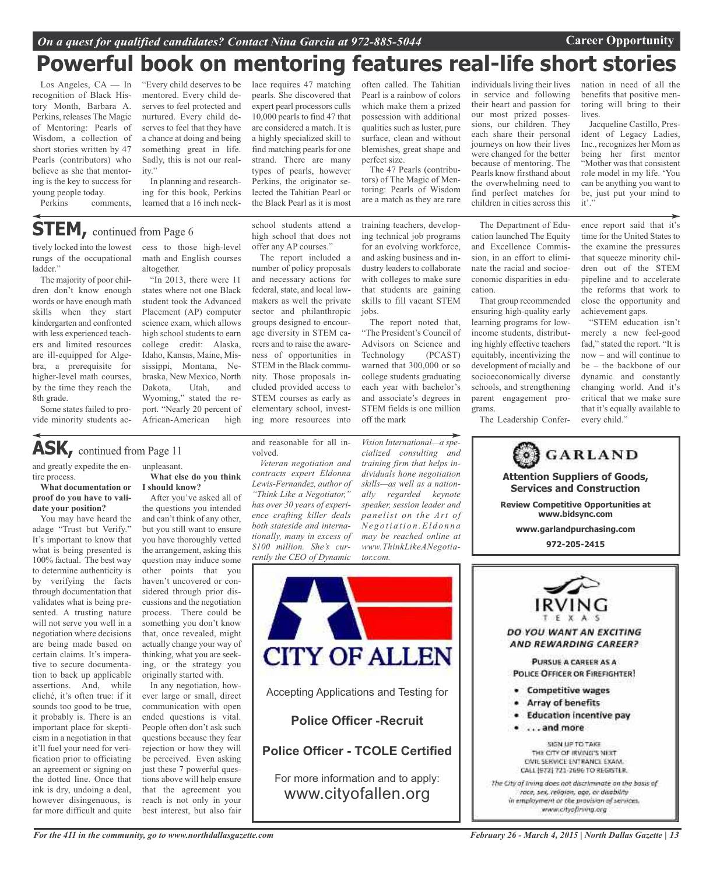# *On a quest for qualified candidates? Contact Nina Garcia at 972-885-5044* **Career Opportunity**

# **Powerful book on mentoring features real-life short stories**

Los Angeles, CA — In recognition of Black History Month, Barbara A. Perkins, releases The Magic of Mentoring: Pearls of Wisdom, a collection of short stories written by 47 Pearls (contributors) who believe as she that mentoring is the key to success for young people today.

Perkins comments,

"Every child deserves to be mentored. Every child deserves to feel protected and nurtured. Every child deserves to feel that they have a chance at doing and being something great in life. Sadly, this is not our reality."

In planning and researching for this book, Perkins learned that a 16 inch neck-

# **STEM,** continued from Page <sup>6</sup>

tively locked into the lowest rungs of the occupational ladder."

The majority of poor children don't know enough words or have enough math skills when they start kindergarten and confronted with less experienced teachers and limited resources are ill-equipped for Algebra, a prerequisite for higher-level math courses, by the time they reach the 8th grade.

Some states failed to provide minority students access to those high-level math and English courses altogether.

"In 2013, there were 11 states where not one Black student took the Advanced Placement (AP) computer science exam, which allows high school students to earn college credit: Alaska, Idaho, Kansas, Maine, Mississippi, Montana, Nebraska, New Mexico, North Dakota, Utah, and Wyoming," stated the report. "Nearly 20 percent of African-American high

# **ASK,** continued from Page <sup>11</sup>

and greatly expedite the entire process.

## **What documentation or proof do you have to validate your position?**

You may have heard the adage "Trust but Verify." It's important to know that what is being presented is 100% factual. The best way to determine authenticity is by verifying the facts through documentation that validates what is being presented. A trusting nature will not serve you well in a negotiation where decisions are being made based on certain claims. It's imperative to secure documentation to back up applicable assertions. And, while cliché, it's often true: if it sounds too good to be true, it probably is. There is an important place for skepticism in a negotiation in that it'll fuel your need for verification prior to officiating an agreement or signing on the dotted line. Once that ink is dry, undoing a deal, however disingenuous, is far more difficult and quite unpleasant. **What else do you think I should know?**

After you've asked all of the questions you intended and can't think of any other, but you still want to ensure you have thoroughly vetted the arrangement, asking this question may induce some other points that you haven't uncovered or considered through prior discussions and the negotiation process. There could be something you don't know that, once revealed, might actually change your way of thinking, what you are seeking, or the strategy you originally started with.

In any negotiation, however large or small, direct communication with open ended questions is vital. People often don't ask such questions because they fear rejection or how they will be perceived. Even asking just these 7 powerful questions above will help ensure that the agreement you reach is not only in your best interest, but also fair

high school that does not offer any AP courses." The report included a

school students attend a

lace requires 47 matching pearls. She discovered that expert pearl processors culls 10,000 pearls to find 47 that are considered a match. It is a highly specialized skill to find matching pearls for one strand. There are many types of pearls, however Perkins, the originator selected the Tahitian Pearl or the Black Pearl as it is most

number of policy proposals and necessary actions for federal, state, and local lawmakers as well the private sector and philanthropic groups designed to encourage diversity in STEM careers and to raise the awareness of opportunities in STEM in the Black community. Those proposals included provided access to STEM courses as early as elementary school, investing more resources into

and reasonable for all in-

*Veteran negotiation and contracts expert Eldonna Lewis-Fernandez, author of "Think Like a Negotiator," has over 30 years of experience crafting killer deals both stateside and internationally, many in excess of \$100 million. She's currently the CEO of Dynamic*

volved.

often called. The Tahitian Pearl is a rainbow of colors which make them a prized possession with additional qualities such as luster, pure surface, clean and without blemishes, great shape and perfect size.

The 47 Pearls (contributors) of The Magic of Mentoring: Pearls of Wisdom are a match as they are rare

training teachers, developing technical job programs for an evolving workforce, and asking business and industry leaders to collaborate with colleges to make sure that students are gaining skills to fill vacant STEM jobs.

The report noted that, "The President's Council of Advisors on Science and Technology (PCAST) warned that 300,000 or so college students graduating each year with bachelor's and associate's degrees in STEM fields is one million off the mark

*Vision International—a specialized consulting and training firm that helps individuals hone negotiation skills—as well as a nationally regarded keynote speaker, session leader and panelist on the Art of Ne g o t i a t i o n .El d o n n a may be reached online at www.ThinkLikeANegotia-*

individuals living their lives in service and following their heart and passion for our most prized possessions, our children. They each share their personal journeys on how their lives were changed for the better because of mentoring. The Pearls know firsthand about the overwhelming need to find perfect matches for children in cities across this

The Department of Education launched The Equity and Excellence Commission, in an effort to eliminate the racial and socioeconomic disparities in education.

That group recommended ensuring high-quality early learning programs for lowincome students, distributing highly effective teachers equitably, incentivizing the development of racially and socioeconomically diverse schools, and strengthening parent engagement programs.

The Leadership Confer-

nation in need of all the benefits that positive mentoring will bring to their lives.

Jacqueline Castillo, President of Legacy Ladies, Inc., recognizes her Mom as being her first mentor "Mother was that consistent role model in my life. 'You can be anything you want to be, just put your mind to it'.

ence report said that it's time for the United States to the examine the pressures that squeeze minority children out of the STEM pipeline and to accelerate the reforms that work to close the opportunity and achievement gaps.

"STEM education isn't merely a new feel-good fad," stated the report. "It is now – and will continue to be – the backbone of our dynamic and constantly changing world. And it's critical that we make sure that it's equally available to every child."

**GARLAND Attention Suppliers of Goods,**

**Services and Construction Review Competitive Opportunities at**

**www.bidsync.com**

**www.garlandpurchasing.com 972-205-2415**



Accepting Applications and Testing for

**CITY OF ALLEN** 

*tor.com.*

**Police Officer -Recruit**

# **Police Officer - TCOLE Certified**

For more information and to apply: www.cityofallen.org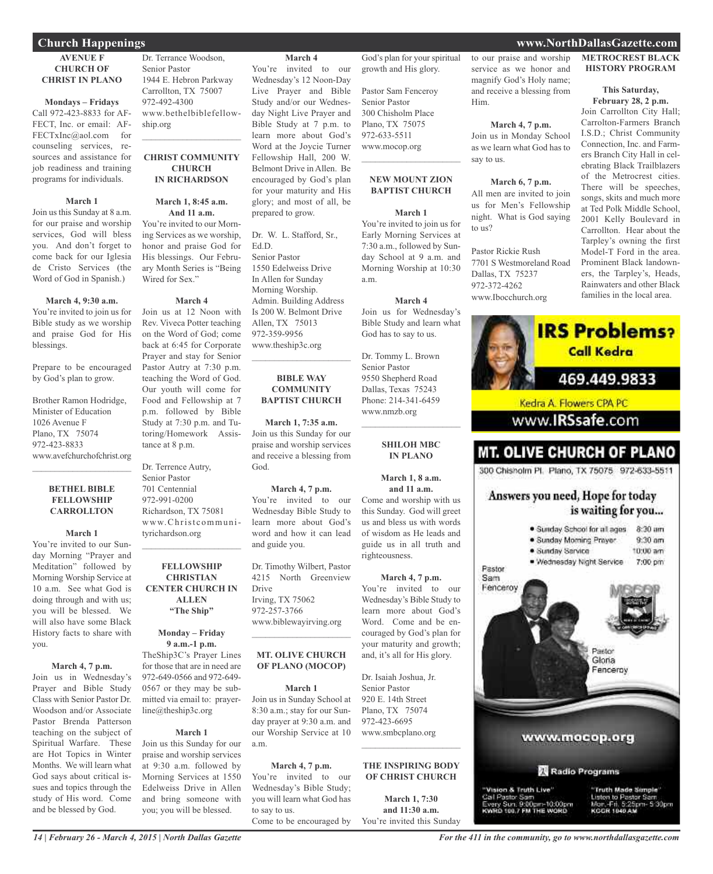## **AVENUE F CHURCH OF CHRIST IN PLANO**

## **Mondays – Fridays**

Call 972-423-8833 for AF-FECT, Inc. or email: AF-FECTxInc@aol.com for counseling services, resources and assistance for job readiness and training programs for individuals.

## **March 1**

Join us this Sunday at 8 a.m. for our praise and worship services, God will bless you. And don't forget to come back for our Iglesia de Cristo Services (the Word of God in Spanish.)

## **March 4, 9:30 a.m.**

You're invited to join us for Bible study as we worship and praise God for His blessings.

Prepare to be encouraged by God's plan to grow.

Brother Ramon Hodridge, Minister of Education 1026 Avenue F Plano, TX 75074 972-423-8833 www.avefchurchofchrist.org

## **BETHEL BIBLE FELLOWSHIP CARROLLTON**

 $\mathcal{L}_\text{max}$  and  $\mathcal{L}_\text{max}$  and  $\mathcal{L}_\text{max}$ 

## **March 1**

You're invited to our Sunday Morning "Prayer and Meditation" followed by Morning Worship Service at 10 a.m. See what God is doing through and with us; you will be blessed. We will also have some Black History facts to share with you.

## **March 4, 7 p.m.**

Join us in Wednesday's Prayer and Bible Study Class with Senior Pastor Dr. Woodson and/or Associate Pastor Brenda Patterson teaching on the subject of Spiritual Warfare. These are Hot Topics in Winter Months. We will learn what God says about critical issues and topics through the study of His word. Come and be blessed by God.

Dr. Terrance Woodson, Senior Pastor 1944 E. Hebron Parkway Carrollton, TX 75007 972-492-4300 www.bethelbiblefellowship.org

## **CHRIST COMMUNITY CHURCH IN RICHARDSON**

 $\mathcal{L}_\text{max}$  , which is a set of the set of the set of the set of the set of the set of the set of the set of the set of the set of the set of the set of the set of the set of the set of the set of the set of the set of

## **March 1, 8:45 a.m. And 11 a.m.**

You're invited to our Morning Services as we worship, honor and praise God for His blessings. Our February Month Series is "Being Wired for Sex."

### **March 4**

Join us at 12 Noon with Rev. Viveca Potter teaching on the Word of God; come back at 6:45 for Corporate Prayer and stay for Senior Pastor Autry at 7:30 p.m. teaching the Word of God. Our youth will come for Food and Fellowship at 7 p.m. followed by Bible Study at 7:30 p.m. and Tutoring/Homework Assistance at 8 p.m.

Dr. Terrence Autry, Senior Pastor 701 Centennial 972-991-0200 Richardson, TX 75081 www.Christcommunityrichardson.org

## **FELLOWSHIP CHRISTIAN CENTER CHURCH IN ALLEN "The Ship"**

 $\mathcal{L}_\text{max}$  and  $\mathcal{L}_\text{max}$  and  $\mathcal{L}_\text{max}$ 

## **Monday – Friday 9 a.m.-1 p.m.**

TheShip3C's Prayer Lines for those that are in need are 972-649-0566 and 972-649- 0567 or they may be submitted via email to: prayerline@theship3c.org

### **March 1**

Join us this Sunday for our praise and worship services at 9:30 a.m. followed by Morning Services at 1550 Edelweiss Drive in Allen and bring someone with you; you will be blessed.

### **March 4**

You're invited to our Wednesday's 12 Noon-Day Live Prayer and Bible Study and/or our Wednesday Night Live Prayer and Bible Study at 7 p.m. to learn more about God's Word at the Joycie Turner Fellowship Hall, 200 W. Belmont Drive in Allen. Be encouraged by God's plan for your maturity and His glory; and most of all, be prepared to grow.

Dr. W. L. Stafford, Sr., Ed.D. Senior Pastor 1550 Edelweiss Drive In Allen for Sunday Morning Worship. Admin. Building Address Is 200 W. Belmont Drive Allen, TX 75013 972-359-9956 www.theship3c.org

## **BIBLE WAY COMMUNITY BAPTIST CHURCH**

 $\overline{\phantom{a}}$  , and the set of the set of the set of the set of the set of the set of the set of the set of the set of the set of the set of the set of the set of the set of the set of the set of the set of the set of the s

**March 1, 7:35 a.m.** Join us this Sunday for our praise and worship services and receive a blessing from God.

### **March 4, 7 p.m.**

You're invited to our Wednesday Bible Study to learn more about God's word and how it can lead and guide you.

Dr. Timothy Wilbert, Pastor 4215 North Greenview Drive Irving, TX 75062 972-257-3766 www.biblewayirving.org

## **MT. OLIVE CHURCH OF PLANO (MOCOP)**

 $\overline{\phantom{a}}$  , and the set of the set of the set of the set of the set of the set of the set of the set of the set of the set of the set of the set of the set of the set of the set of the set of the set of the set of the s

**March 1** Join us in Sunday School at 8:30 a.m.; stay for our Sunday prayer at 9:30 a.m. and our Worship Service at 10 a.m.

**March 4, 7 p.m.** You're invited to our Wednesday's Bible Study; you will learn what God has to say to us. Come to be encouraged by

God's plan for your spiritual growth and His glory.

Pastor Sam Fenceroy Senior Pastor 300 Chisholm Place Plano, TX 75075 972-633-5511 www.mocop.org  $\mathcal{L}=\mathcal{L}^{\mathcal{L}}$  , where  $\mathcal{L}^{\mathcal{L}}$  , we have the set of the set of the set of the set of the set of the set of the set of the set of the set of the set of the set of the set of the set of the set of the set of

# **NEW MOUNT ZION BAPTIST CHURCH**

**March 1** You're invited to join us for Early Morning Services at 7:30 a.m., followed by Sunday School at 9 a.m. and Morning Worship at 10:30 a.m.

### **March 4** Join us for Wednesday's

Bible Study and learn what

God has to say to us. Dr. Tommy L. Brown Senior Pastor 9550 Shepherd Road Dallas, Texas 75243 Phone: 214-341-6459 www.nmzb.org

> **SHILOH MBC IN PLANO**

 $\mathcal{L}=\mathcal{L}^{\mathcal{L}}$  , where  $\mathcal{L}^{\mathcal{L}}$  , we have the set of the set of the set of the set of the set of the set of the set of the set of the set of the set of the set of the set of the set of the set of the set of

**March 1, 8 a.m. and 11 a.m.** Come and worship with us this Sunday. God will greet us and bless us with words of wisdom as He leads and guide us in all truth and righteousness.

**March 4, 7 p.m.** You're invited to our Wednesday's Bible Study to learn more about God's Word. Come and be encouraged by God's plan for your maturity and growth; and, it's all for His glory.

Dr. Isaiah Joshua, Jr. Senior Pastor 920 E. 14th Street Plano, TX 75074 972-423-6695 www.smbcplano.org

### **THE INSPIRING BODY OF CHRIST CHURCH**

 $\mathcal{L}$  , and the set of the set of the set of the set of the set of the set of the set of the set of the set of the set of the set of the set of the set of the set of the set of the set of the set of the set of the set

**March 1, 7:30 and 11:30 a.m.** You're invited this Sunday

to our praise and worship service as we honor and magnify God's Holy name; and receive a blessing from Him.

## **March 4, 7 p.m.**

Join us in Monday School as we learn what God has to say to us.

### **March 6, 7 p.m.**

All men are invited to join

Pastor Rickie Rush 7701 S Westmoreland Road

us for Men's Fellowship night. What is God saying to us?

Dallas, TX 75237 972-372-4262 www.Ibocchurch.org



# 2001 Kelly Boulevard in

Carrollton. Hear about the Tarpley's owning the first Model-T Ford in the area. Prominent Black landowners, the Tarpley's, Heads, Rainwaters and other Black families in the local area.

**IRS Problems?** 



*For the 411 in the community, go to www.northdallasgazette.com*

## **Church Happenings www.NorthDallasGazette.com**

**METROCREST BLACK HISTORY PROGRAM**

### **This Saturday, February 28, 2 p.m.**

Join Carrollton City Hall; Carrolton-Farmers Branch I.S.D.; Christ Community Connection, Inc. and Farmers Branch City Hall in celebrating Black Trailblazers of the Metrocrest cities. There will be speeches, songs, skits and much more at Ted Polk Middle School,

Call Pastor Sam<br>Every Sun: 9:00pm-10:00pm<br>KWRD 100.7 FM THE WORD Listen to Pastor Serr  $-5.30$ pm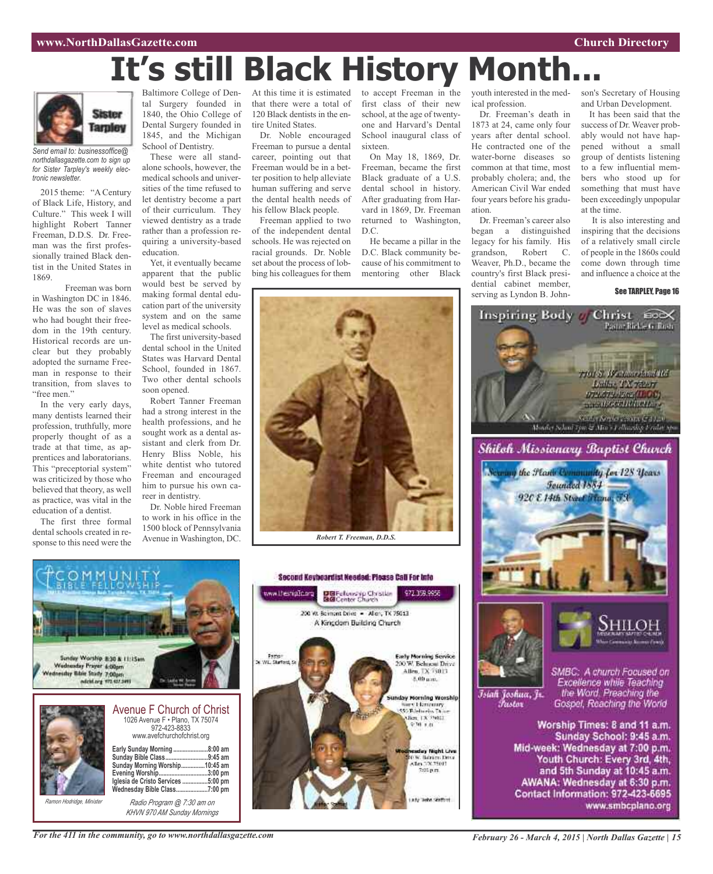# **It's still Black History Month...**



*Send email to: businessoffice@ northdallasgazette.com to sign up for Sister Tarpley's weekly electronic newsletter.*

2015 theme: "A Century of Black Life, History, and Culture." This week I will highlight Robert Tanner Freeman, D.D.S. Dr. Freeman was the first professionally trained Black dentist in the United States in 1869.

Freeman was born in Washington DC in 1846. He was the son of slaves who had bought their freedom in the 19th century. Historical records are unclear but they probably adopted the surname Freeman in response to their transition, from slaves to "free men."

In the very early days, many dentists learned their profession, truthfully, more properly thought of as a trade at that time, as apprentices and laboratorians. This "preceptorial system" was criticized by those who believed that theory, as well as practice, was vital in the education of a dentist.

The first three formal dental schools created in response to this need were the

Baltimore College of Dental Surgery founded in 1840, the Ohio College of Dental Surgery founded in 1845, and the Michigan School of Dentistry.

These were all standalone schools, however, the medical schools and universities of the time refused to let dentistry become a part of their curriculum. They viewed dentistry as a trade rather than a profession requiring a university-based education.

Yet, it eventually became apparent that the public would best be served by making formal dental education part of the university system and on the same level as medical schools.

The first university-based dental school in the United States was Harvard Dental School, founded in 1867. Two other dental schools soon opened.

Robert Tanner Freeman had a strong interest in the health professions, and he sought work as a dental assistant and clerk from Dr. Henry Bliss Noble, his white dentist who tutored Freeman and encouraged him to pursue his own career in dentistry.

Dr. Noble hired Freeman to work in his office in the 1500 block of Pennsylvania Avenue in Washington, DC.

At this time it is estimated that there were a total of 120 Black dentists in the entire United States.

Dr. Noble encouraged Freeman to pursue a dental career, pointing out that Freeman would be in a better position to help alleviate human suffering and serve the dental health needs of his fellow Black people.

Freeman applied to two of the independent dental schools. He was rejected on racial grounds. Dr. Noble set about the process of lobbing his colleagues for them

to accept Freeman in the first class of their new school, at the age of twentyone and Harvard's Dental School inaugural class of sixteen.

On May 18, 1869, Dr. Freeman, became the first Black graduate of a U.S. dental school in history. After graduating from Harvard in 1869, Dr. Freeman returned to Washington, D.C.

He became a pillar in the D.C. Black community because of his commitment to mentoring other Black youth interested in the medical profession.

Dr. Freeman's death in 1873 at 24, came only four years after dental school. He contracted one of the water-borne diseases so common at that time, most probably cholera; and, the American Civil War ended four years before his graduation.

Dr. Freeman's career also began a distinguished legacy for his family. His grandson, Robert C. Weaver, Ph.D., became the country's first Black presidential cabinet member, serving as Lyndon B. John-

Inspiring Body o

son's Secretary of Housing and Urban Development.

It has been said that the success of Dr. Weaver probably would not have happened without a small group of dentists listening to a few influential members who stood up for something that must have been exceedingly unpopular at the time.

It is also interesting and inspiring that the decisions of a relatively small circle of people in the 1860s could come down through time and influence a choice at the

Christ CDX

riot S. Westman Idult 16.

See TARPLEY, Page 16



*Robert T. Freeman, D.D.S.*



*KHVN 970 AM Sunday Mornings*





Mid-week: Wednesday at 7:00 p.m. Youth Church: Every 3rd, 4th, and 5th Sunday at 10:45 a.m. AWANA: Wednesday at 6:30 p.m. Contact Information: 972-423-6695 www.smbcplano.org